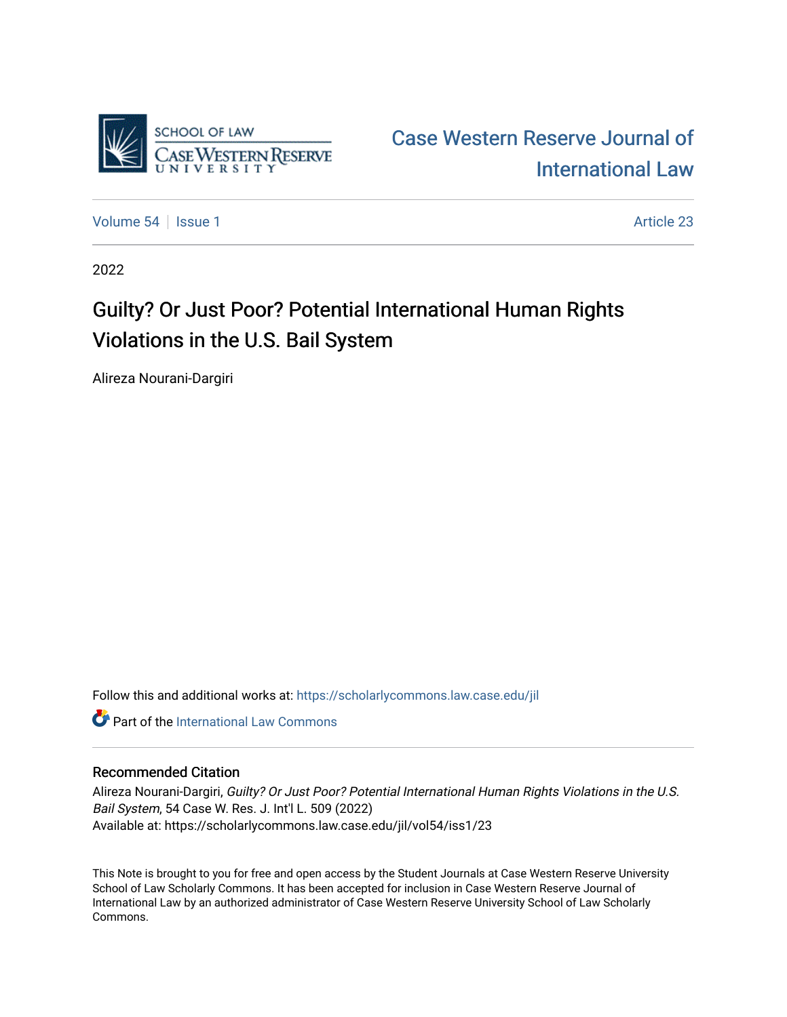

[Case Western Reserve Journal of](https://scholarlycommons.law.case.edu/jil)  [International Law](https://scholarlycommons.law.case.edu/jil) 

[Volume 54](https://scholarlycommons.law.case.edu/jil/vol54) | [Issue 1](https://scholarlycommons.law.case.edu/jil/vol54/iss1) Article 23

2022

# Guilty? Or Just Poor? Potential International Human Rights Violations in the U.S. Bail System

Alireza Nourani-Dargiri

Follow this and additional works at: [https://scholarlycommons.law.case.edu/jil](https://scholarlycommons.law.case.edu/jil?utm_source=scholarlycommons.law.case.edu%2Fjil%2Fvol54%2Fiss1%2F23&utm_medium=PDF&utm_campaign=PDFCoverPages) 

**C** Part of the International Law Commons

# Recommended Citation

Alireza Nourani-Dargiri, Guilty? Or Just Poor? Potential International Human Rights Violations in the U.S. Bail System, 54 Case W. Res. J. Int'l L. 509 (2022) Available at: https://scholarlycommons.law.case.edu/jil/vol54/iss1/23

This Note is brought to you for free and open access by the Student Journals at Case Western Reserve University School of Law Scholarly Commons. It has been accepted for inclusion in Case Western Reserve Journal of International Law by an authorized administrator of Case Western Reserve University School of Law Scholarly Commons.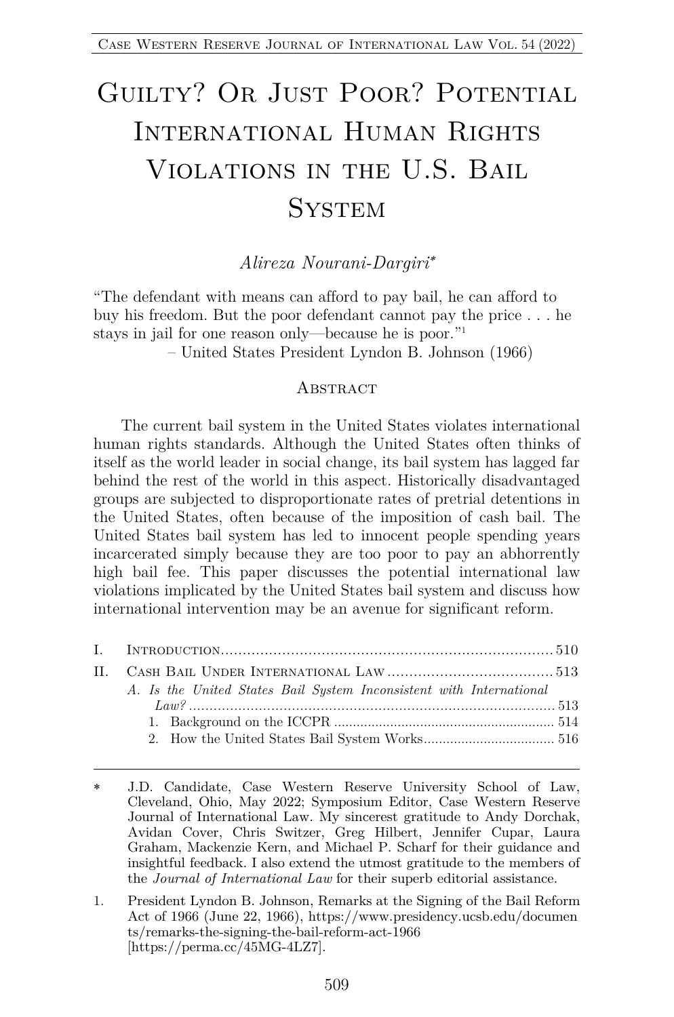# GUILTY? OR JUST POOR? POTENTIAL International Human Rights Violations in the U.S. Bail **SYSTEM**

*Alireza Nourani-Dargiri*\*

"The defendant with means can afford to pay bail, he can afford to buy his freedom. But the poor defendant cannot pay the price . . . he stays in jail for one reason only—because he is poor."1

– United States President Lyndon B. Johnson (1966)

#### **ABSTRACT**

The current bail system in the United States violates international human rights standards. Although the United States often thinks of itself as the world leader in social change, its bail system has lagged far behind the rest of the world in this aspect. Historically disadvantaged groups are subjected to disproportionate rates of pretrial detentions in the United States, often because of the imposition of cash bail. The United States bail system has led to innocent people spending years incarcerated simply because they are too poor to pay an abhorrently high bail fee. This paper discusses the potential international law violations implicated by the United States bail system and discuss how international intervention may be an avenue for significant reform.

| A. Is the United States Bail System Inconsistent with International |  |
|---------------------------------------------------------------------|--|
|                                                                     |  |
|                                                                     |  |
|                                                                     |  |
|                                                                     |  |

J.D. Candidate, Case Western Reserve University School of Law, Cleveland, Ohio, May 2022; Symposium Editor, Case Western Reserve Journal of International Law. My sincerest gratitude to Andy Dorchak, Avidan Cover, Chris Switzer, Greg Hilbert, Jennifer Cupar, Laura Graham, Mackenzie Kern, and Michael P. Scharf for their guidance and insightful feedback. I also extend the utmost gratitude to the members of the *Journal of International Law* for their superb editorial assistance.

<sup>1.</sup> President Lyndon B. Johnson, Remarks at the Signing of the Bail Reform Act of 1966 (June 22, 1966), https://www.presidency.ucsb.edu/documen ts/remarks-the-signing-the-bail-reform-act-1966 [https://perma.cc/45MG-4LZ7].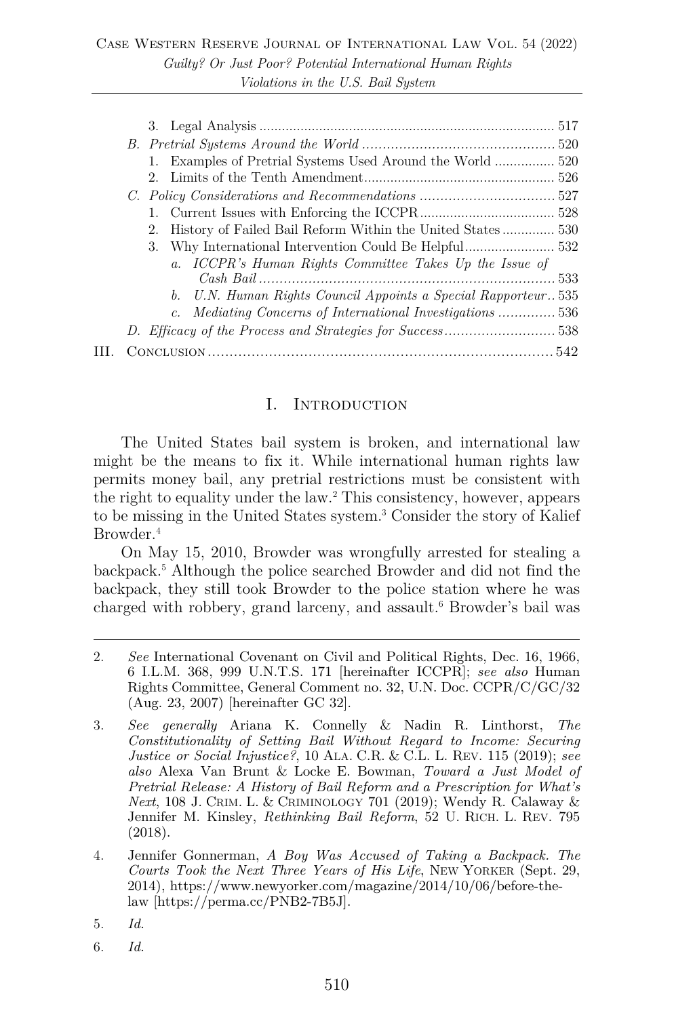|  | 2. History of Failed Bail Reform Within the United States530   |
|--|----------------------------------------------------------------|
|  |                                                                |
|  | a. ICCPR's Human Rights Committee Takes Up the Issue of        |
|  |                                                                |
|  | b. U.N. Human Rights Council Appoints a Special Rapporteur 535 |
|  | c. Mediating Concerns of International Investigations 536      |
|  | D. Efficacy of the Process and Strategies for Success538       |
|  |                                                                |
|  |                                                                |

#### I. INTRODUCTION

The United States bail system is broken, and international law might be the means to fix it. While international human rights law permits money bail, any pretrial restrictions must be consistent with the right to equality under the law.2 This consistency, however, appears to be missing in the United States system.3 Consider the story of Kalief Browder.<sup>4</sup>

On May 15, 2010, Browder was wrongfully arrested for stealing a backpack.5 Although the police searched Browder and did not find the backpack, they still took Browder to the police station where he was charged with robbery, grand larceny, and assault.<sup>6</sup> Browder's bail was

- 5. *Id.*
- 6. *Id.*

<sup>2.</sup> *See* International Covenant on Civil and Political Rights, Dec. 16, 1966, 6 I.L.M. 368, 999 U.N.T.S. 171 [hereinafter ICCPR]; *see also* Human Rights Committee, General Comment no. 32, U.N. Doc. CCPR/C/GC/32 (Aug. 23, 2007) [hereinafter GC 32].

<sup>3.</sup> *See generally* Ariana K. Connelly & Nadin R. Linthorst, *The Constitutionality of Setting Bail Without Regard to Income: Securing Justice or Social Injustice?*, 10 ALA. C.R. & C.L. L. REV. 115 (2019); *see also* Alexa Van Brunt & Locke E. Bowman, *Toward a Just Model of Pretrial Release: A History of Bail Reform and a Prescription for What's Next*, 108 J. CRIM. L. & CRIMINOLOGY 701 (2019); Wendy R. Calaway & Jennifer M. Kinsley, *Rethinking Bail Reform*, 52 U. RICH. L. REV. 795 (2018).

<sup>4.</sup> Jennifer Gonnerman, *A Boy Was Accused of Taking a Backpack. The Courts Took the Next Three Years of His Life*, NEW YORKER (Sept. 29, 2014), https://www.newyorker.com/magazine/2014/10/06/before-thelaw [https://perma.cc/PNB2-7B5J].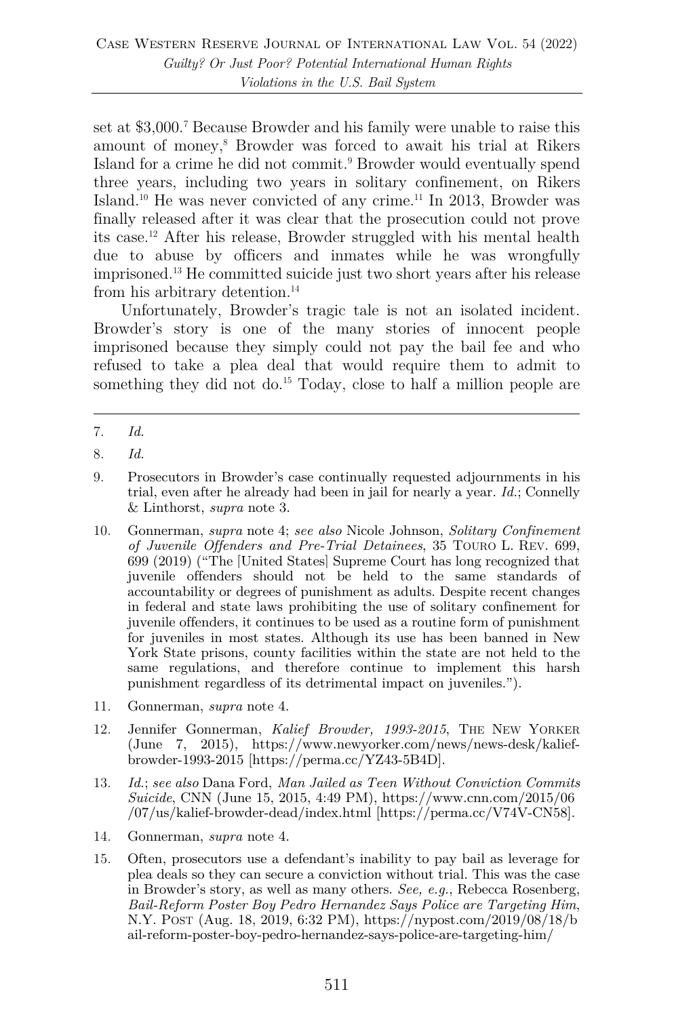set at \$3,000.7 Because Browder and his family were unable to raise this amount of money,8 Browder was forced to await his trial at Rikers Island for a crime he did not commit.9 Browder would eventually spend three years, including two years in solitary confinement, on Rikers Island.10 He was never convicted of any crime.11 In 2013, Browder was finally released after it was clear that the prosecution could not prove its case.12 After his release, Browder struggled with his mental health due to abuse by officers and inmates while he was wrongfully imprisoned.13 He committed suicide just two short years after his release from his arbitrary detention.<sup>14</sup>

Unfortunately, Browder's tragic tale is not an isolated incident. Browder's story is one of the many stories of innocent people imprisoned because they simply could not pay the bail fee and who refused to take a plea deal that would require them to admit to something they did not do.<sup>15</sup> Today, close to half a million people are

- 9. Prosecutors in Browder's case continually requested adjournments in his trial, even after he already had been in jail for nearly a year. *Id.*; Connelly & Linthorst, *supra* note 3.
- 10. Gonnerman, *supra* note 4; *see also* Nicole Johnson, *Solitary Confinement of Juvenile Offenders and Pre-Trial Detainees*, 35 TOURO L. REV. 699, 699 (2019) ("The [United States] Supreme Court has long recognized that juvenile offenders should not be held to the same standards of accountability or degrees of punishment as adults. Despite recent changes in federal and state laws prohibiting the use of solitary confinement for juvenile offenders, it continues to be used as a routine form of punishment for juveniles in most states. Although its use has been banned in New York State prisons, county facilities within the state are not held to the same regulations, and therefore continue to implement this harsh punishment regardless of its detrimental impact on juveniles.").
- 11. Gonnerman, *supra* note 4.
- 12. Jennifer Gonnerman, *Kalief Browder, 1993-2015*, THE NEW YORKER (June 7, 2015), https://www.newyorker.com/news/news-desk/kaliefbrowder-1993-2015 [https://perma.cc/YZ43-5B4D].
- 13. *Id.*; *see also* Dana Ford, *Man Jailed as Teen Without Conviction Commits Suicide*, CNN (June 15, 2015, 4:49 PM), https://www.cnn.com/2015/06 /07/us/kalief-browder-dead/index.html [https://perma.cc/V74V-CN58].
- 14. Gonnerman, *supra* note 4.
- 15. Often, prosecutors use a defendant's inability to pay bail as leverage for plea deals so they can secure a conviction without trial. This was the case in Browder's story, as well as many others. *See, e.g.*, Rebecca Rosenberg, *Bail-Reform Poster Boy Pedro Hernandez Says Police are Targeting Him*, N.Y. POST (Aug. 18, 2019, 6:32 PM), https://nypost.com/2019/08/18/b ail-reform-poster-boy-pedro-hernandez-says-police-are-targeting-him/

<sup>7.</sup> *Id.*

<sup>8.</sup> *Id.*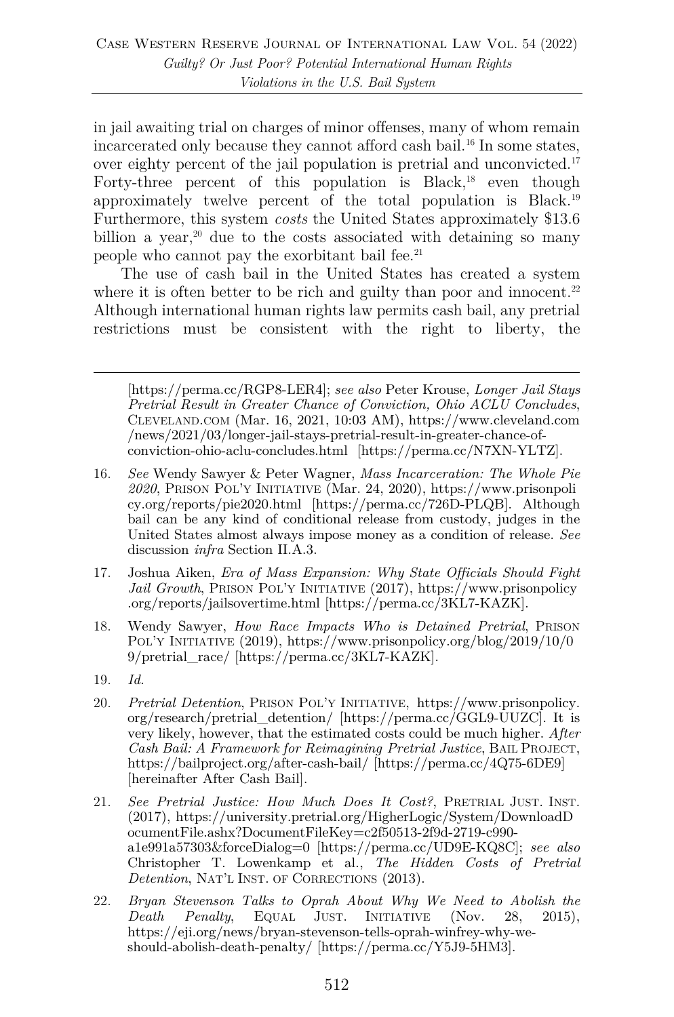in jail awaiting trial on charges of minor offenses, many of whom remain incarcerated only because they cannot afford cash bail.<sup>16</sup> In some states, over eighty percent of the jail population is pretrial and unconvicted.17 Forty-three percent of this population is Black, $18$  even though approximately twelve percent of the total population is Black.19 Furthermore, this system *costs* the United States approximately \$13.6 billion a year, $20$  due to the costs associated with detaining so many people who cannot pay the exorbitant bail fee.<sup>21</sup>

The use of cash bail in the United States has created a system where it is often better to be rich and guilty than poor and innocent.<sup>22</sup> Although international human rights law permits cash bail, any pretrial restrictions must be consistent with the right to liberty, the

[https://perma.cc/RGP8-LER4]; *see also* Peter Krouse, *Longer Jail Stays Pretrial Result in Greater Chance of Conviction, Ohio ACLU Concludes*, CLEVELAND.COM (Mar. 16, 2021, 10:03 AM), https://www.cleveland.com /news/2021/03/longer-jail-stays-pretrial-result-in-greater-chance-ofconviction-ohio-aclu-concludes.html [https://perma.cc/N7XN-YLTZ].

- 16. *See* Wendy Sawyer & Peter Wagner, *Mass Incarceration: The Whole Pie 2020*, PRISON POL'Y INITIATIVE (Mar. 24, 2020), https://www.prisonpoli cy.org/reports/pie2020.html [https://perma.cc/726D-PLQB]. Although bail can be any kind of conditional release from custody, judges in the United States almost always impose money as a condition of release. *See* discussion *infra* Section II.A.3.
- 17. Joshua Aiken, *Era of Mass Expansion: Why State Officials Should Fight Jail Growth*, PRISON POL'Y INITIATIVE (2017), https://www.prisonpolicy .org/reports/jailsovertime.html [https://perma.cc/3KL7-KAZK].
- 18. Wendy Sawyer, *How Race Impacts Who is Detained Pretrial*, PRISON POL'Y INITIATIVE (2019), https://www.prisonpolicy.org/blog/2019/10/0 9/pretrial\_race/ [https://perma.cc/3KL7-KAZK].
- 19. *Id.*
- 20. *Pretrial Detention*, PRISON POL'Y INITIATIVE, https://www.prisonpolicy. org/research/pretrial\_detention/ [https://perma.cc/GGL9-UUZC]. It is very likely, however, that the estimated costs could be much higher. *After Cash Bail: A Framework for Reimagining Pretrial Justice*, BAIL PROJECT, https://bailproject.org/after-cash-bail/ [https://perma.cc/4Q75-6DE9] [hereinafter After Cash Bail].
- 21. *See Pretrial Justice: How Much Does It Cost?*, PRETRIAL JUST. INST. (2017), https://university.pretrial.org/HigherLogic/System/DownloadD ocumentFile.ashx?DocumentFileKey=c2f50513-2f9d-2719-c990 a1e991a57303&forceDialog=0 [https://perma.cc/UD9E-KQ8C]; *see also* Christopher T. Lowenkamp et al., *The Hidden Costs of Pretrial Detention*, NAT'L INST. OF CORRECTIONS (2013).
- 22. *Bryan Stevenson Talks to Oprah About Why We Need to Abolish the Death Penalty*, EQUAL JUST. INITIATIVE (Nov. https://eji.org/news/bryan-stevenson-tells-oprah-winfrey-why-weshould-abolish-death-penalty/ [https://perma.cc/Y5J9-5HM3].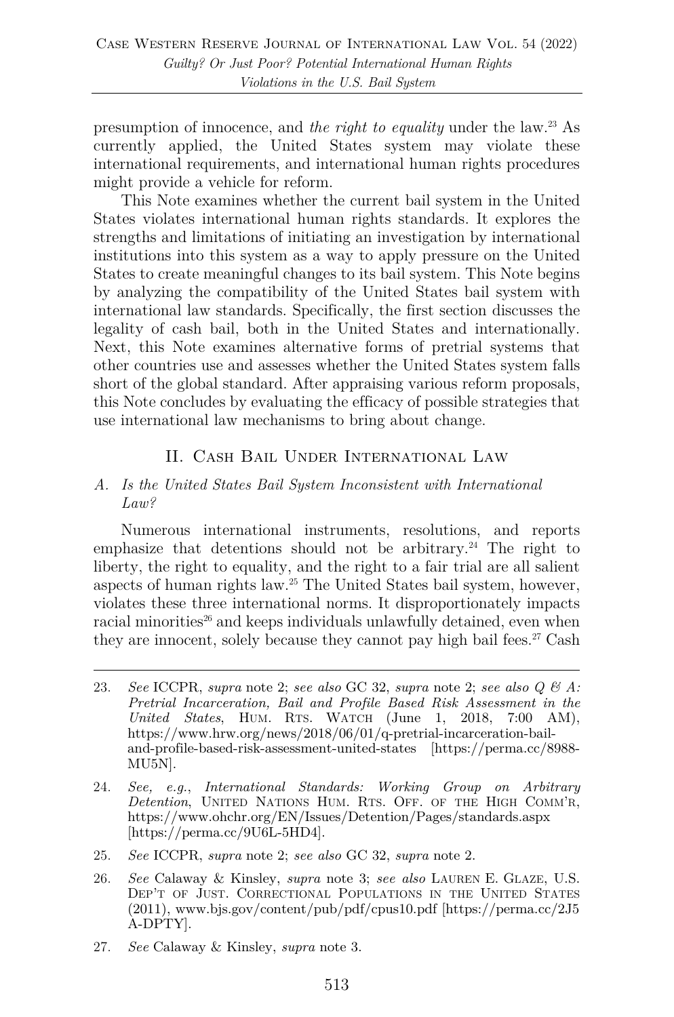presumption of innocence, and *the right to equality* under the law.23 As currently applied, the United States system may violate these international requirements, and international human rights procedures might provide a vehicle for reform.

This Note examines whether the current bail system in the United States violates international human rights standards. It explores the strengths and limitations of initiating an investigation by international institutions into this system as a way to apply pressure on the United States to create meaningful changes to its bail system. This Note begins by analyzing the compatibility of the United States bail system with international law standards. Specifically, the first section discusses the legality of cash bail, both in the United States and internationally. Next, this Note examines alternative forms of pretrial systems that other countries use and assesses whether the United States system falls short of the global standard. After appraising various reform proposals, this Note concludes by evaluating the efficacy of possible strategies that use international law mechanisms to bring about change.

# II. Cash Bail Under International Law

#### *A. Is the United States Bail System Inconsistent with International Law?*

Numerous international instruments, resolutions, and reports emphasize that detentions should not be arbitrary.<sup>24</sup> The right to liberty, the right to equality, and the right to a fair trial are all salient aspects of human rights law.25 The United States bail system, however, violates these three international norms. It disproportionately impacts racial minorities<sup>26</sup> and keeps individuals unlawfully detained, even when they are innocent, solely because they cannot pay high bail fees. <sup>27</sup> Cash

- 25. *See* ICCPR, *supra* note 2; *see also* GC 32, *supra* note 2.
- 26. *See* Calaway & Kinsley, *supra* note 3; *see also* LAUREN E. GLAZE, U.S. DEP'T OF JUST. CORRECTIONAL POPULATIONS IN THE UNITED STATES (2011), www.bjs.gov/content/pub/pdf/cpus10.pdf [https://perma.cc/2J5 A-DPTY].
- 27. *See* Calaway & Kinsley, *supra* note 3.

<sup>23.</sup> *See* ICCPR, *supra* note 2; *see also* GC 32, *supra* note 2; *see also Q & A: Pretrial Incarceration, Bail and Profile Based Risk Assessment in the United States*, HUM. RTS. WATCH (June 1, 2018, 7:00 AM), https://www.hrw.org/news/2018/06/01/q-pretrial-incarceration-bailand-profile-based-risk-assessment-united-states [https://perma.cc/8988- MU5N].

<sup>24.</sup> *See, e.g.*, *International Standards: Working Group on Arbitrary Detention*, UNITED NATIONS HUM. RTS. OFF. OF THE HIGH COMM'R, https://www.ohchr.org/EN/Issues/Detention/Pages/standards.aspx [https://perma.cc/9U6L-5HD4].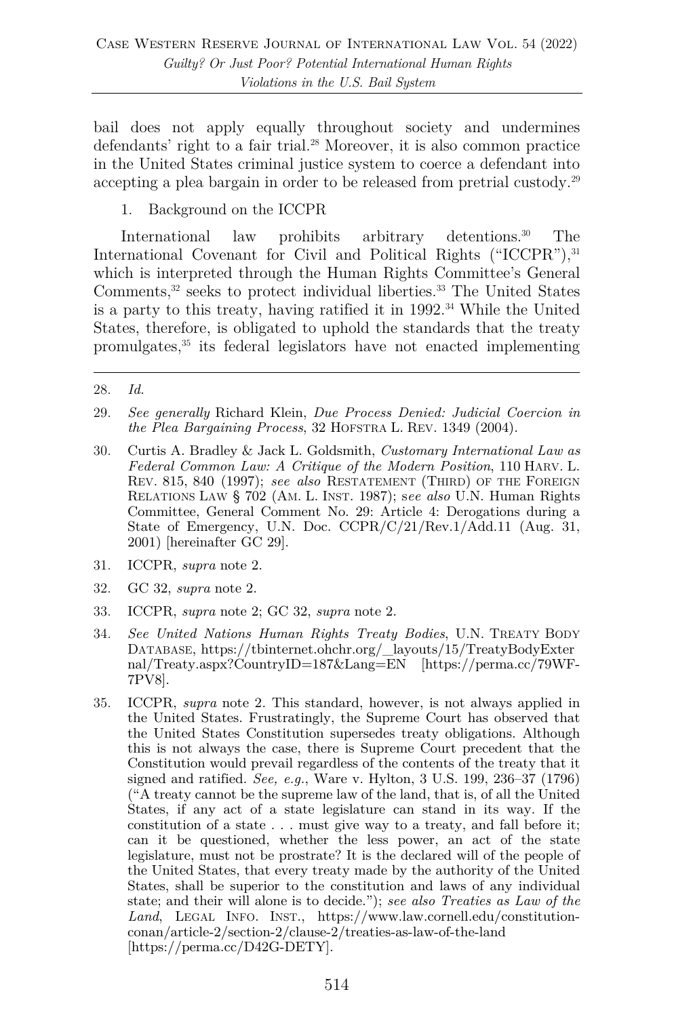bail does not apply equally throughout society and undermines defendants' right to a fair trial.<sup>28</sup> Moreover, it is also common practice in the United States criminal justice system to coerce a defendant into accepting a plea bargain in order to be released from pretrial custody.29

1. Background on the ICCPR

International law prohibits arbitrary detentions.<sup>30</sup> The International Covenant for Civil and Political Rights ("ICCPR"), 31 which is interpreted through the Human Rights Committee's General Comments,<sup>32</sup> seeks to protect individual liberties.<sup>33</sup> The United States is a party to this treaty, having ratified it in  $1992.^{34}$  While the United States, therefore, is obligated to uphold the standards that the treaty promulgates,35 its federal legislators have not enacted implementing

- 29. *See generally* Richard Klein, *Due Process Denied: Judicial Coercion in the Plea Bargaining Process*, 32 HOFSTRA L. REV. 1349 (2004).
- 30. Curtis A. Bradley & Jack L. Goldsmith, *Customary International Law as Federal Common Law: A Critique of the Modern Position*, 110 HARV. L. REV. 815, 840 (1997); *see also* RESTATEMENT (THIRD) OF THE FOREIGN RELATIONS LAW § 702 (AM. L. INST. 1987); s*ee also* U.N. Human Rights Committee, General Comment No. 29: Article 4: Derogations during a State of Emergency, U.N. Doc. CCPR/C/21/Rev.1/Add.11 (Aug. 31, 2001) [hereinafter GC 29].
- 31. ICCPR, *supra* note 2.
- 32. GC 32, *supra* note 2.
- 33. ICCPR, *supra* note 2; GC 32, *supra* note 2.
- 34. *See United Nations Human Rights Treaty Bodies*, U.N. TREATY BODY DATABASE, https://tbinternet.ohchr.org/\_layouts/15/TreatyBodyExter nal/Treaty.aspx?CountryID=187&Lang=EN [https://perma.cc/79WF-7PV8].
- 35. ICCPR, *supra* note 2*.* This standard, however, is not always applied in the United States. Frustratingly, the Supreme Court has observed that the United States Constitution supersedes treaty obligations. Although this is not always the case, there is Supreme Court precedent that the Constitution would prevail regardless of the contents of the treaty that it signed and ratified. *See, e.g.*, Ware v. Hylton, 3 U.S. 199, 236–37 (1796) ("A treaty cannot be the supreme law of the land, that is, of all the United States, if any act of a state legislature can stand in its way. If the constitution of a state . . . must give way to a treaty, and fall before it; can it be questioned, whether the less power, an act of the state legislature, must not be prostrate? It is the declared will of the people of the United States, that every treaty made by the authority of the United States, shall be superior to the constitution and laws of any individual state; and their will alone is to decide."); *see also Treaties as Law of the Land*, LEGAL INFO. INST., https://www.law.cornell.edu/constitutionconan/article-2/section-2/clause-2/treaties-as-law-of-the-land [https://perma.cc/D42G-DETY].

<sup>28.</sup> *Id.*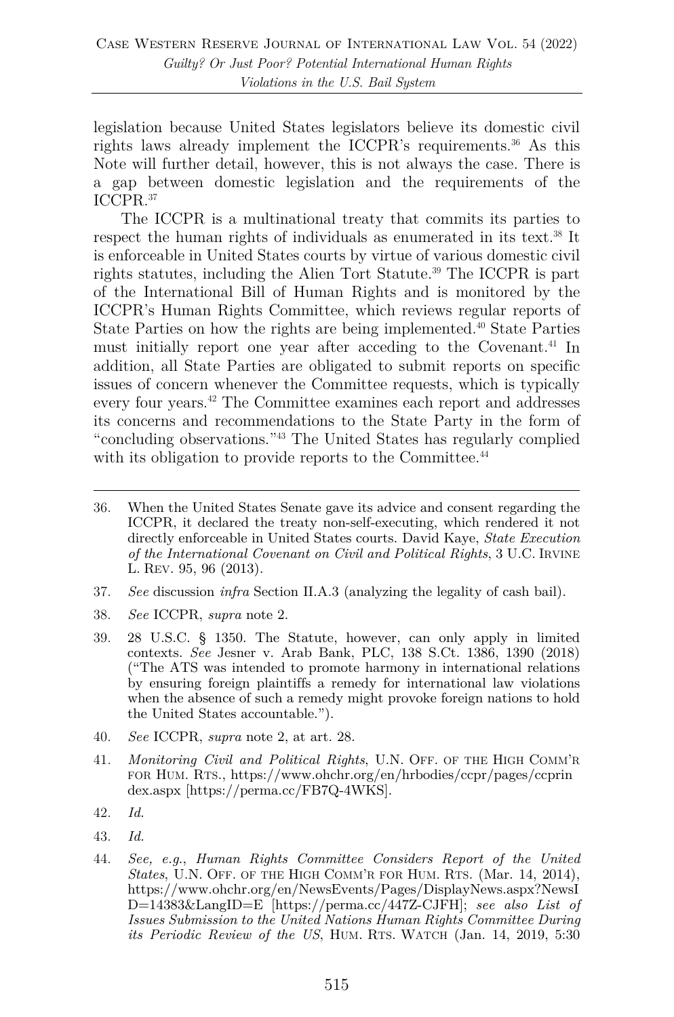legislation because United States legislators believe its domestic civil rights laws already implement the ICCPR's requirements. <sup>36</sup> As this Note will further detail, however, this is not always the case. There is a gap between domestic legislation and the requirements of the ICCPR.37

The ICCPR is a multinational treaty that commits its parties to respect the human rights of individuals as enumerated in its text.38 It is enforceable in United States courts by virtue of various domestic civil rights statutes, including the Alien Tort Statute.39 The ICCPR is part of the International Bill of Human Rights and is monitored by the ICCPR's Human Rights Committee, which reviews regular reports of State Parties on how the rights are being implemented.<sup>40</sup> State Parties must initially report one year after acceding to the Covenant.<sup>41</sup> In addition, all State Parties are obligated to submit reports on specific issues of concern whenever the Committee requests, which is typically every four years.42 The Committee examines each report and addresses its concerns and recommendations to the State Party in the form of "concluding observations."43 The United States has regularly complied with its obligation to provide reports to the Committee.<sup>44</sup>

- 37. *See* discussion *infra* Section II.A.3 (analyzing the legality of cash bail).
- 38. *See* ICCPR, *supra* note 2.
- 39. 28 U.S.C. § 1350. The Statute, however, can only apply in limited contexts. *See* Jesner v. Arab Bank, PLC, 138 S.Ct. 1386, 1390 (2018) ("The ATS was intended to promote harmony in international relations by ensuring foreign plaintiffs a remedy for international law violations when the absence of such a remedy might provoke foreign nations to hold the United States accountable.").
- 40. *See* ICCPR, *supra* note 2, at art. 28.
- 41. *Monitoring Civil and Political Rights*, U.N. OFF. OF THE HIGH COMM'R FOR HUM. RTS., https://www.ohchr.org/en/hrbodies/ccpr/pages/ccprin dex.aspx [https://perma.cc/FB7Q-4WKS].
- 42. *Id.*
- 43. *Id.*
- 44. *See, e.g*., *Human Rights Committee Considers Report of the United States*, U.N. OFF. OF THE HIGH COMM'R FOR HUM. RTS. (Mar. 14, 2014), https://www.ohchr.org/en/NewsEvents/Pages/DisplayNews.aspx?NewsI D=14383&LangID=E [https://perma.cc/447Z-CJFH]; *see also List of Issues Submission to the United Nations Human Rights Committee During its Periodic Review of the US*, HUM. RTS. WATCH (Jan. 14, 2019, 5:30

<sup>36.</sup> When the United States Senate gave its advice and consent regarding the ICCPR, it declared the treaty non-self-executing, which rendered it not directly enforceable in United States courts. David Kaye, *State Execution of the International Covenant on Civil and Political Rights*, 3 U.C. IRVINE L. REV. 95, 96 (2013).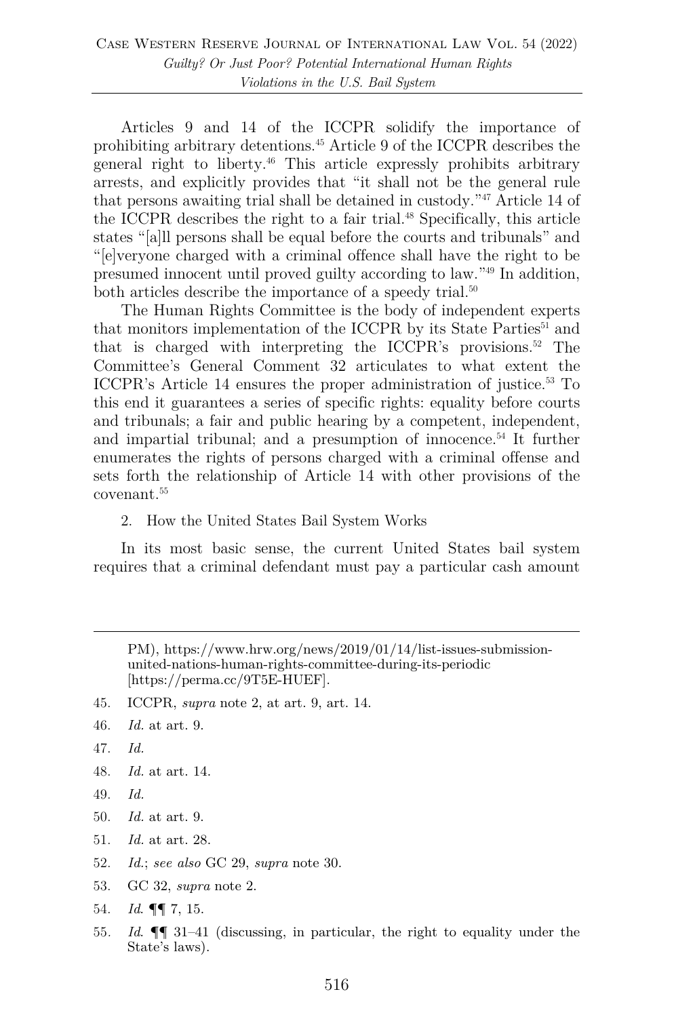Articles 9 and 14 of the ICCPR solidify the importance of prohibiting arbitrary detentions.45 Article 9 of the ICCPR describes the general right to liberty.46 This article expressly prohibits arbitrary arrests, and explicitly provides that "it shall not be the general rule that persons awaiting trial shall be detained in custody."47 Article 14 of the ICCPR describes the right to a fair trial.<sup>48</sup> Specifically, this article states "[a]ll persons shall be equal before the courts and tribunals" and "[e]veryone charged with a criminal offence shall have the right to be presumed innocent until proved guilty according to law."49 In addition, both articles describe the importance of a speedy trial.<sup>50</sup>

The Human Rights Committee is the body of independent experts that monitors implementation of the ICCPR by its State Parties<sup>51</sup> and that is charged with interpreting the ICCPR's provisions.<sup>52</sup> The Committee's General Comment 32 articulates to what extent the ICCPR's Article 14 ensures the proper administration of justice.<sup>53</sup> To this end it guarantees a series of specific rights: equality before courts and tribunals; a fair and public hearing by a competent, independent, and impartial tribunal; and a presumption of innocence.<sup>54</sup> It further enumerates the rights of persons charged with a criminal offense and sets forth the relationship of Article 14 with other provisions of the covenant.55

2. How the United States Bail System Works

In its most basic sense, the current United States bail system requires that a criminal defendant must pay a particular cash amount

PM), https://www.hrw.org/news/2019/01/14/list-issues-submissionunited-nations-human-rights-committee-during-its-periodic [https://perma.cc/9T5E-HUEF].

45. ICCPR, *supra* note 2, at art. 9, art. 14.

- 47. *Id.*
- 48. *Id.* at art. 14.
- 49. *Id.*
- 50. *Id.* at art. 9.
- 51. *Id.* at art. 28.
- 52. *Id.*; *see also* GC 29, *supra* note 30.
- 53. GC 32, *supra* note 2.
- 54. *Id*. ¶¶ 7, 15.
- 55*. Id*. ¶¶ 31–41 (discussing, in particular, the right to equality under the State's laws).

<sup>46.</sup> *Id.* at art. 9.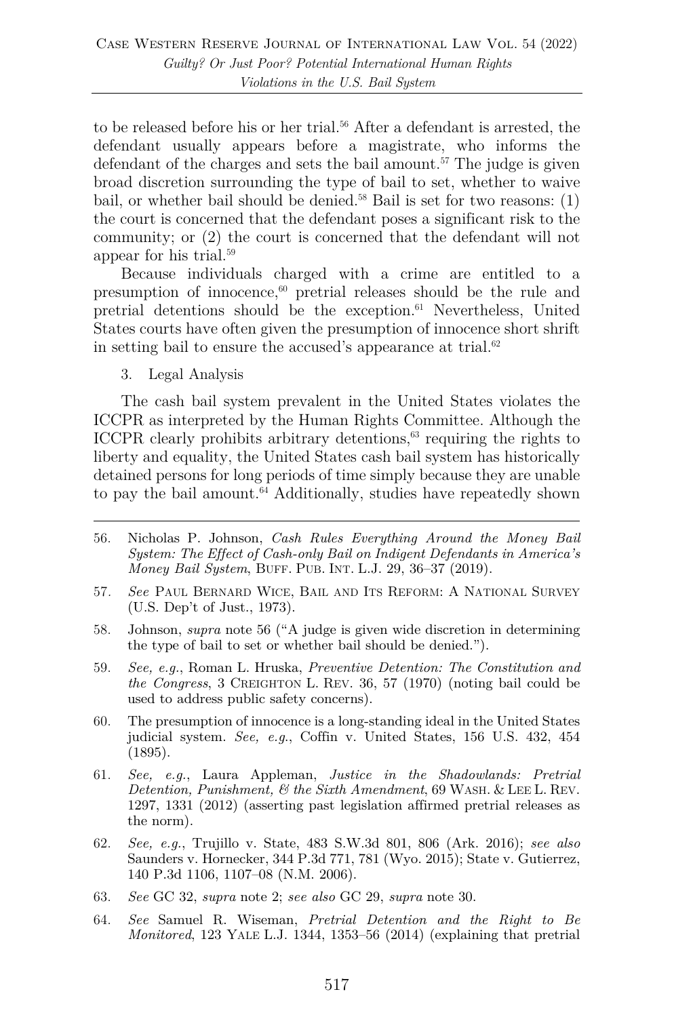to be released before his or her trial.<sup>56</sup> After a defendant is arrested, the defendant usually appears before a magistrate, who informs the defendant of the charges and sets the bail amount.<sup>57</sup> The judge is given broad discretion surrounding the type of bail to set, whether to waive bail, or whether bail should be denied.<sup>58</sup> Bail is set for two reasons:  $(1)$ the court is concerned that the defendant poses a significant risk to the community; or (2) the court is concerned that the defendant will not appear for his trial.59

Because individuals charged with a crime are entitled to a presumption of innocence, $60$  pretrial releases should be the rule and pretrial detentions should be the exception.61 Nevertheless, United States courts have often given the presumption of innocence short shrift in setting bail to ensure the accused's appearance at trial. $62$ 

3. Legal Analysis

The cash bail system prevalent in the United States violates the ICCPR as interpreted by the Human Rights Committee. Although the ICCPR clearly prohibits arbitrary detentions, <sup>63</sup> requiring the rights to liberty and equality, the United States cash bail system has historically detained persons for long periods of time simply because they are unable to pay the bail amount.<sup>64</sup> Additionally, studies have repeatedly shown

- 58. Johnson, *supra* note 56 ("A judge is given wide discretion in determining the type of bail to set or whether bail should be denied.").
- 59. *See, e.g.*, Roman L. Hruska, *Preventive Detention: The Constitution and the Congress*, 3 CREIGHTON L. REV. 36, 57 (1970) (noting bail could be used to address public safety concerns).
- 60. The presumption of innocence is a long-standing ideal in the United States judicial system. *See, e.g*., Coffin v. United States, 156 U.S. 432, 454 (1895).
- 61. *See, e.g.*, Laura Appleman, *Justice in the Shadowlands: Pretrial Detention, Punishment, & the Sixth Amendment*, 69 WASH. & LEE L. REV. 1297, 1331 (2012) (asserting past legislation affirmed pretrial releases as the norm).
- 62. *See, e.g.*, Trujillo v. State, 483 S.W.3d 801, 806 (Ark. 2016); *see also* Saunders v. Hornecker, 344 P.3d 771, 781 (Wyo. 2015); State v. Gutierrez, 140 P.3d 1106, 1107–08 (N.M. 2006).
- 63. *See* GC 32, *supra* note 2; *see also* GC 29, *supra* note 30.
- 64. *See* Samuel R. Wiseman, *Pretrial Detention and the Right to Be Monitored*, 123 YALE L.J. 1344, 1353–56 (2014) (explaining that pretrial

<sup>56.</sup> Nicholas P. Johnson, *Cash Rules Everything Around the Money Bail System: The Effect of Cash-only Bail on Indigent Defendants in America's Money Bail System*, BUFF. PUB. INT. L.J. 29, 36–37 (2019).

<sup>57</sup>*. See* PAUL BERNARD WICE, BAIL AND ITS REFORM: A NATIONAL SURVEY (U.S. Dep't of Just., 1973).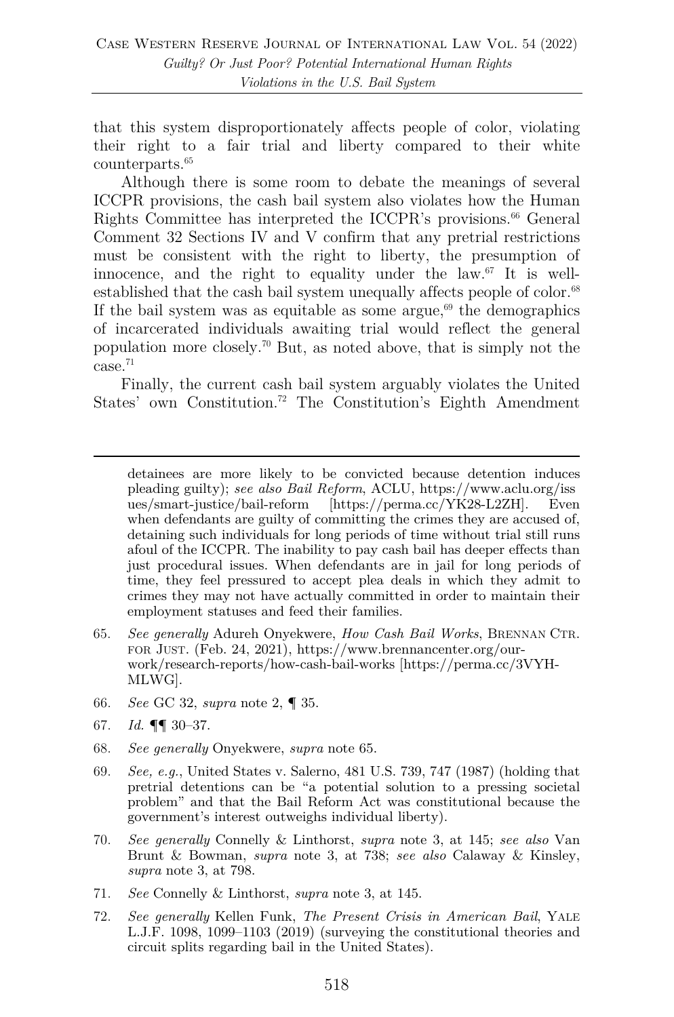that this system disproportionately affects people of color, violating their right to a fair trial and liberty compared to their white counterparts. 65

Although there is some room to debate the meanings of several ICCPR provisions, the cash bail system also violates how the Human Rights Committee has interpreted the ICCPR's provisions.<sup>66</sup> General Comment 32 Sections IV and V confirm that any pretrial restrictions must be consistent with the right to liberty, the presumption of innocence, and the right to equality under the law.67 It is wellestablished that the cash bail system unequally affects people of color.<sup>68</sup> If the bail system was as equitable as some argue, $69$  the demographics of incarcerated individuals awaiting trial would reflect the general population more closely.70 But, as noted above, that is simply not the case.71

Finally, the current cash bail system arguably violates the United States' own Constitution.72 The Constitution's Eighth Amendment

detainees are more likely to be convicted because detention induces pleading guilty); *see also Bail Reform*, ACLU, https://www.aclu.org/iss ues/smart-justice/bail-reform [https://perma.cc/YK28-L2ZH]. Even when defendants are guilty of committing the crimes they are accused of, detaining such individuals for long periods of time without trial still runs afoul of the ICCPR. The inability to pay cash bail has deeper effects than just procedural issues. When defendants are in jail for long periods of time, they feel pressured to accept plea deals in which they admit to crimes they may not have actually committed in order to maintain their employment statuses and feed their families.

- 65. *See generally* Adureh Onyekwere, *How Cash Bail Works*, BRENNAN CTR. FOR JUST. (Feb. 24, 2021), https://www.brennancenter.org/ourwork/research-reports/how-cash-bail-works [https://perma.cc/3VYH-MLWG].
- 66. *See* GC 32, *supra* note 2, ¶ 35.
- 67. *Id.* ¶¶ 30–37.
- 68. *See generally* Onyekwere, *supra* note 65.
- 69. *See, e.g.*, United States v. Salerno, 481 U.S. 739, 747 (1987) (holding that pretrial detentions can be "a potential solution to a pressing societal problem" and that the Bail Reform Act was constitutional because the government's interest outweighs individual liberty).
- 70. *See generally* Connelly & Linthorst, *supra* note 3, at 145; *see also* Van Brunt & Bowman, *supra* note 3, at 738; *see also* Calaway & Kinsley, *supra* note 3, at 798.
- 71. *See* Connelly & Linthorst, *supra* note 3, at 145.
- 72. *See generally* Kellen Funk, *The Present Crisis in American Bail*, YALE L.J.F. 1098, 1099–1103 (2019) (surveying the constitutional theories and circuit splits regarding bail in the United States).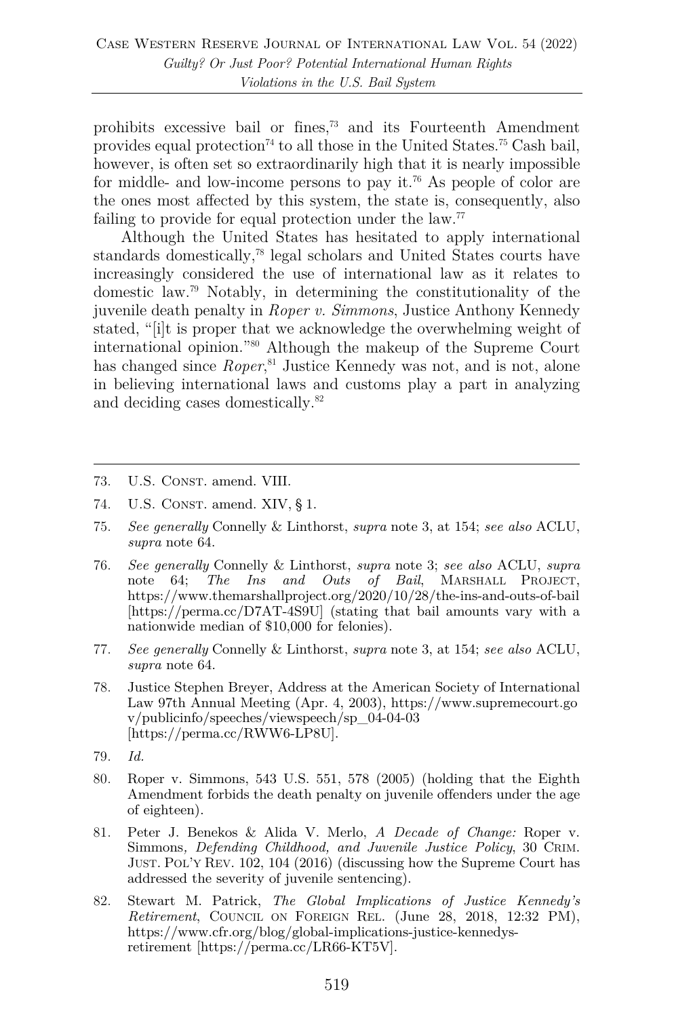prohibits excessive bail or fines, <sup>73</sup> and its Fourteenth Amendment provides equal protection<sup>74</sup> to all those in the United States.<sup>75</sup> Cash bail, however, is often set so extraordinarily high that it is nearly impossible for middle- and low-income persons to pay it.<sup>76</sup> As people of color are the ones most affected by this system, the state is, consequently, also failing to provide for equal protection under the law.<sup>77</sup>

Although the United States has hesitated to apply international standards domestically,<sup>78</sup> legal scholars and United States courts have increasingly considered the use of international law as it relates to domestic law.79 Notably, in determining the constitutionality of the juvenile death penalty in *Roper v. Simmons*, Justice Anthony Kennedy stated, "[i]t is proper that we acknowledge the overwhelming weight of international opinion."80 Although the makeup of the Supreme Court has changed since *Roper*<sup>81</sup>, Justice Kennedy was not, and is not, alone in believing international laws and customs play a part in analyzing and deciding cases domestically.<sup>82</sup>

- 73. U.S. Const. amend. VIII.
- 74. U.S. CONST. amend. XIV, § 1.
- 75. *See generally* Connelly & Linthorst, *supra* note 3, at 154; *see also* ACLU, *supra* note 64.
- 76. *See generally* Connelly & Linthorst, *supra* note 3; *see also* ACLU, *supra*  note 64; *The Ins and Outs of Bail*, MARSHALL PROJECT, https://www.themarshallproject.org/2020/10/28/the-ins-and-outs-of-bail [https://perma.cc/D7AT-4S9U] (stating that bail amounts vary with a nationwide median of \$10,000 for felonies).
- 77. *See generally* Connelly & Linthorst, *supra* note 3, at 154; *see also* ACLU, *supra* note 64.
- 78. Justice Stephen Breyer, Address at the American Society of International Law 97th Annual Meeting (Apr. 4, 2003), https://www.supremecourt.go v/publicinfo/speeches/viewspeech/sp\_04-04-03 [https://perma.cc/RWW6-LP8U].
- 79. *Id.*
- 80. Roper v. Simmons, 543 U.S. 551, 578 (2005) (holding that the Eighth Amendment forbids the death penalty on juvenile offenders under the age of eighteen).
- 81. Peter J. Benekos & Alida V. Merlo, *A Decade of Change:* Roper v. Simmons*, Defending Childhood, and Juvenile Justice Policy*, 30 CRIM. JUST. POL'Y REV. 102, 104 (2016) (discussing how the Supreme Court has addressed the severity of juvenile sentencing).
- 82. Stewart M. Patrick, *The Global Implications of Justice Kennedy's Retirement*, COUNCIL ON FOREIGN REL. (June 28, 2018, 12:32 PM), https://www.cfr.org/blog/global-implications-justice-kennedysretirement [https://perma.cc/LR66-KT5V].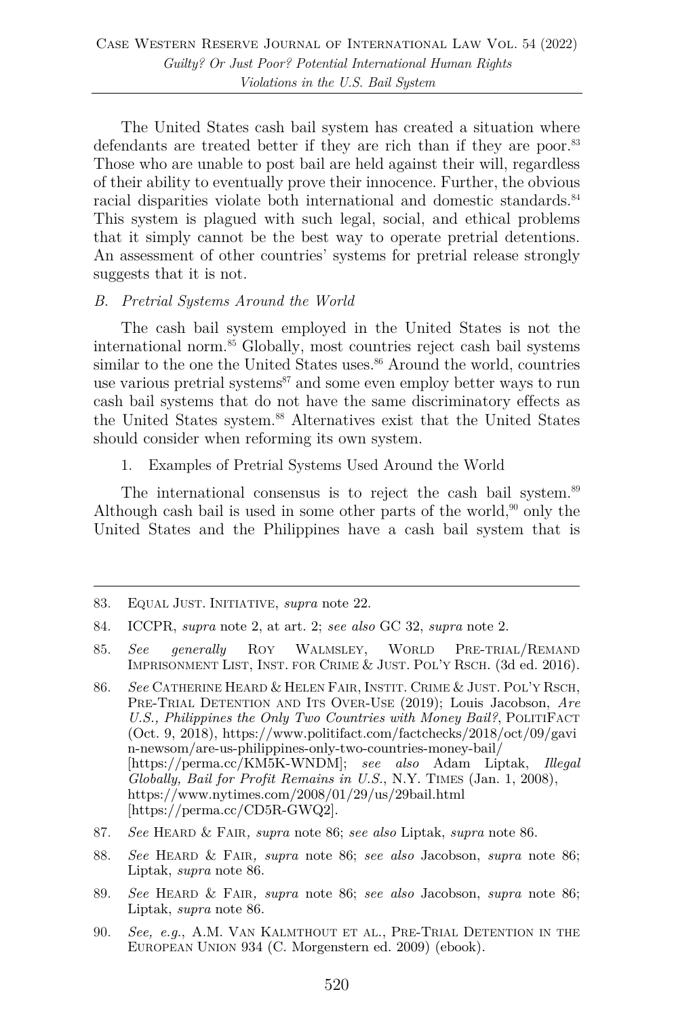The United States cash bail system has created a situation where defendants are treated better if they are rich than if they are poor.<sup>83</sup> Those who are unable to post bail are held against their will, regardless of their ability to eventually prove their innocence. Further, the obvious racial disparities violate both international and domestic standards.<sup>84</sup> This system is plagued with such legal, social, and ethical problems that it simply cannot be the best way to operate pretrial detentions. An assessment of other countries' systems for pretrial release strongly suggests that it is not.

#### *B. Pretrial Systems Around the World*

The cash bail system employed in the United States is not the international norm.85 Globally, most countries reject cash bail systems similar to the one the United States uses.<sup>86</sup> Around the world, countries use various pretrial systems $87$  and some even employ better ways to run cash bail systems that do not have the same discriminatory effects as the United States system. <sup>88</sup> Alternatives exist that the United States should consider when reforming its own system.

1. Examples of Pretrial Systems Used Around the World

The international consensus is to reject the cash bail system.<sup>89</sup> Although cash bail is used in some other parts of the world, $90$  only the United States and the Philippines have a cash bail system that is

- 87. *See* HEARD & FAIR*, supra* note 86; *see also* Liptak, *supra* note 86.
- 88. *See* HEARD & FAIR*, supra* note 86; *see also* Jacobson, *supra* note 86; Liptak, *supra* note 86.
- 89. *See* HEARD & FAIR*, supra* note 86; *see also* Jacobson, *supra* note 86; Liptak, *supra* note 86.
- 90. *See, e.g.*, A.M. VAN KALMTHOUT ET AL., PRE-TRIAL DETENTION IN THE EUROPEAN UNION 934 (C. Morgenstern ed. 2009) (ebook).

<sup>83.</sup> EQUAL JUST. INITIATIVE, *supra* note 22.

<sup>84.</sup> ICCPR, *supra* note 2, at art. 2; *see also* GC 32, *supra* note 2.

<sup>85.</sup> *See generally* ROY WALMSLEY, WORLD PRE-TRIAL/REMAND IMPRISONMENT LIST, INST. FOR CRIME & JUST. POL'Y RSCH. (3d ed. 2016).

<sup>86.</sup> *See* CATHERINE HEARD & HELEN FAIR, INSTIT. CRIME & JUST. POL'Y RSCH, PRE-TRIAL DETENTION AND ITS OVER-USE (2019); Louis Jacobson, *Are U.S., Philippines the Only Two Countries with Money Bail?*, POLITIFACT (Oct. 9, 2018), https://www.politifact.com/factchecks/2018/oct/09/gavi n-newsom/are-us-philippines-only-two-countries-money-bail/ [https://perma.cc/KM5K-WNDM]; *see also* Adam Liptak, *Illegal Globally, Bail for Profit Remains in U.S.*, N.Y. TIMES (Jan. 1, 2008), https://www.nytimes.com/2008/01/29/us/29bail.html [https://perma.cc/CD5R-GWQ2].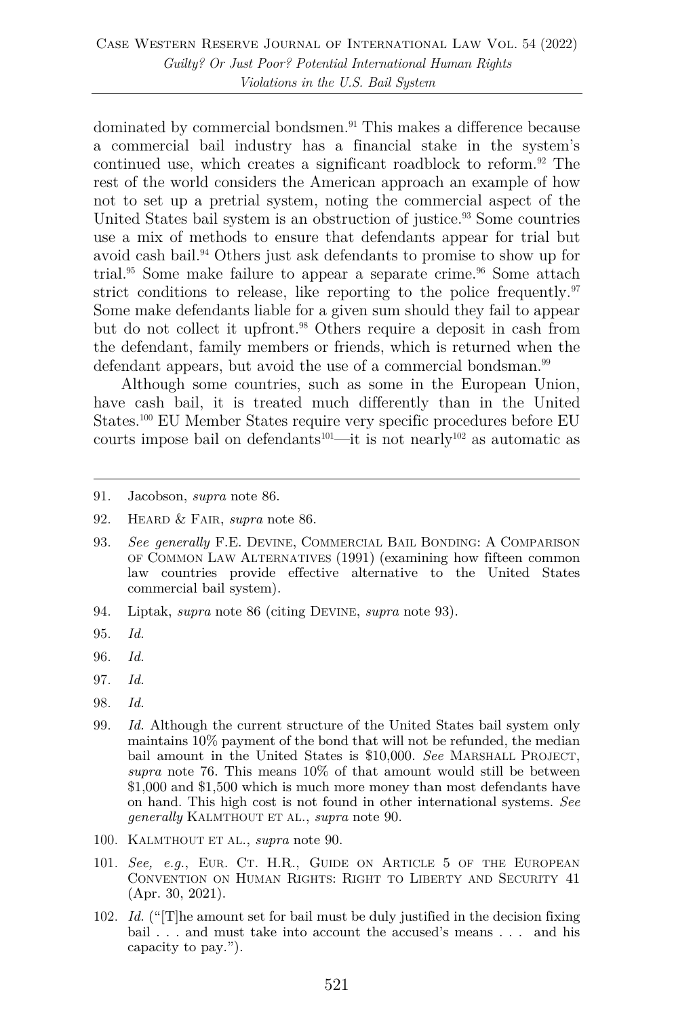dominated by commercial bondsmen.<sup>91</sup> This makes a difference because a commercial bail industry has a financial stake in the system's continued use, which creates a significant roadblock to reform.<sup>92</sup> The rest of the world considers the American approach an example of how not to set up a pretrial system, noting the commercial aspect of the United States bail system is an obstruction of justice.<sup>93</sup> Some countries use a mix of methods to ensure that defendants appear for trial but avoid cash bail.<sup>94</sup> Others just ask defendants to promise to show up for trial.<sup>95</sup> Some make failure to appear a separate crime.<sup>96</sup> Some attach strict conditions to release, like reporting to the police frequently. $97$ Some make defendants liable for a given sum should they fail to appear but do not collect it upfront.<sup>98</sup> Others require a deposit in cash from the defendant, family members or friends, which is returned when the defendant appears, but avoid the use of a commercial bondsman.<sup>99</sup>

Although some countries, such as some in the European Union, have cash bail, it is treated much differently than in the United States.100 EU Member States require very specific procedures before EU courts impose bail on defendants<sup>101</sup>—it is not nearly<sup>102</sup> as automatic as

- 93. *See generally* F.E. DEVINE, COMMERCIAL BAIL BONDING: A COMPARISON OF COMMON LAW ALTERNATIVES (1991) (examining how fifteen common law countries provide effective alternative to the United States commercial bail system).
- 94. Liptak, *supra* note 86 (citing DEVINE, *supra* note 93).
- 95. *Id.*
- 96. *Id.*
- 97. *Id.*
- 98. *Id.*
- 99. *Id.* Although the current structure of the United States bail system only maintains 10% payment of the bond that will not be refunded, the median bail amount in the United States is \$10,000. *See* MARSHALL PROJECT, *supra* note 76. This means 10% of that amount would still be between \$1,000 and \$1,500 which is much more money than most defendants have on hand. This high cost is not found in other international systems. *See generally* KALMTHOUT ET AL., *supra* note 90.
- 100. KALMTHOUT ET AL., *supra* note 90.
- 101. *See, e.g.*, EUR. CT. H.R., GUIDE ON ARTICLE 5 OF THE EUROPEAN CONVENTION ON HUMAN RIGHTS: RIGHT TO LIBERTY AND SECURITY 41 (Apr. 30, 2021).
- 102. *Id.* ("[T]he amount set for bail must be duly justified in the decision fixing bail . . . and must take into account the accused's means . . . and his capacity to pay.").

<sup>91.</sup> Jacobson, *supra* note 86.

<sup>92.</sup> HEARD & FAIR, *supra* note 86.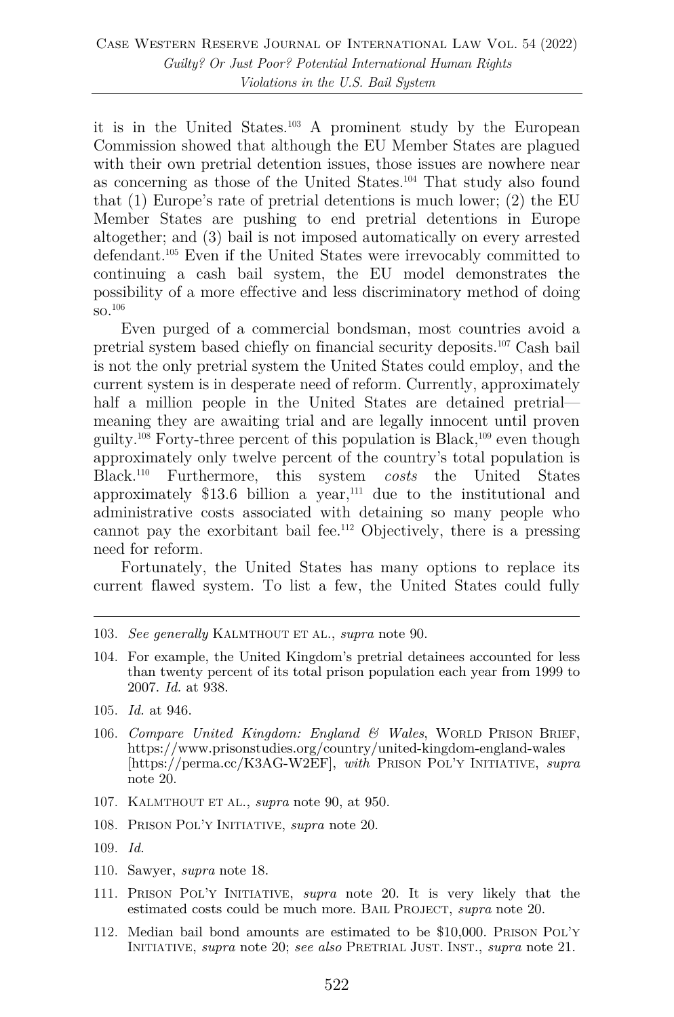it is in the United States.103 A prominent study by the European Commission showed that although the EU Member States are plagued with their own pretrial detention issues, those issues are nowhere near as concerning as those of the United States.104 That study also found that (1) Europe's rate of pretrial detentions is much lower; (2) the EU Member States are pushing to end pretrial detentions in Europe altogether; and (3) bail is not imposed automatically on every arrested defendant.105 Even if the United States were irrevocably committed to continuing a cash bail system, the EU model demonstrates the possibility of a more effective and less discriminatory method of doing so.106

Even purged of a commercial bondsman, most countries avoid a pretrial system based chiefly on financial security deposits.107 Cash bail is not the only pretrial system the United States could employ, and the current system is in desperate need of reform. Currently, approximately half a million people in the United States are detained pretrial meaning they are awaiting trial and are legally innocent until proven guilty.<sup>108</sup> Forty-three percent of this population is Black,<sup>109</sup> even though approximately only twelve percent of the country's total population is Black.110 Furthermore, this system *costs* the United States approximately  $$13.6$  billion a year,<sup>111</sup> due to the institutional and administrative costs associated with detaining so many people who cannot pay the exorbitant bail fee.112 Objectively, there is a pressing need for reform.

Fortunately, the United States has many options to replace its current flawed system. To list a few, the United States could fully

- 103. *See generally* KALMTHOUT ET AL., *supra* note 90.
- 104. For example, the United Kingdom's pretrial detainees accounted for less than twenty percent of its total prison population each year from 1999 to 2007. *Id.* at 938.
- 105. *Id.* at 946.
- 106. *Compare United Kingdom: England & Wales*, WORLD PRISON BRIEF, https://www.prisonstudies.org/country/united-kingdom-england-wales [https://perma.cc/K3AG-W2EF], *with* PRISON POL'Y INITIATIVE, *supra*  note 20.
- 107. KALMTHOUT ET AL., *supra* note 90, at 950.
- 108. PRISON POL'Y INITIATIVE, *supra* note 20.
- 109. *Id.*
- 110. Sawyer, *supra* note 18.
- 111. PRISON POL'Y INITIATIVE, *supra* note 20. It is very likely that the estimated costs could be much more. BAIL PROJECT, *supra* note 20.
- 112. Median bail bond amounts are estimated to be \$10,000. PRISON POL'Y INITIATIVE, *supra* note 20; *see also* PRETRIAL JUST. INST., *supra* note 21.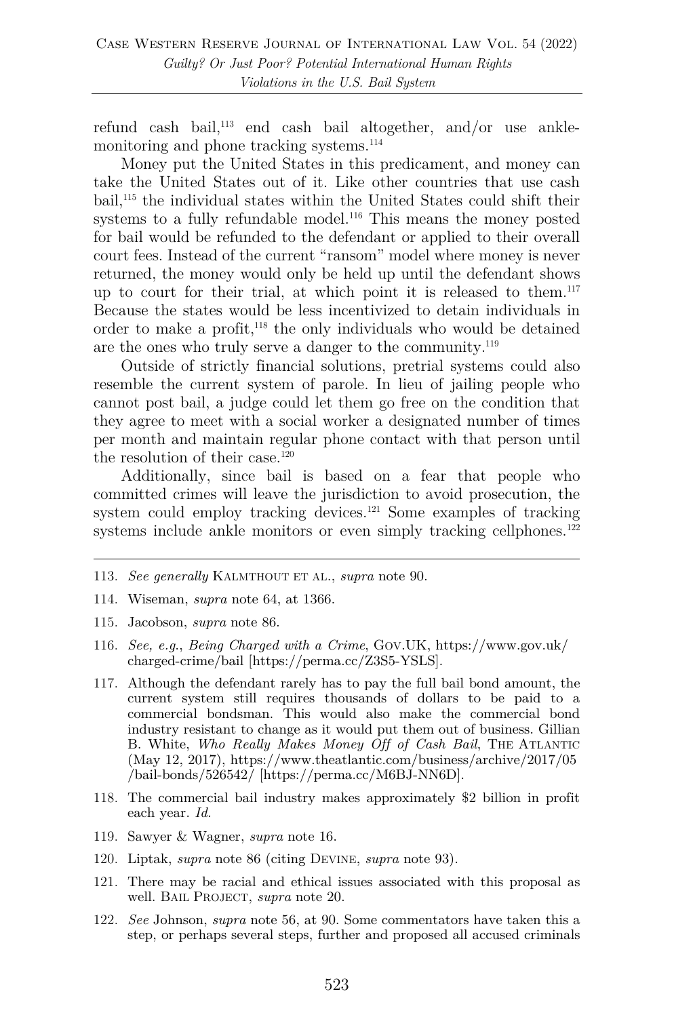refund cash bail,113 end cash bail altogether, and/or use anklemonitoring and phone tracking systems.<sup>114</sup>

Money put the United States in this predicament, and money can take the United States out of it. Like other countries that use cash bail, <sup>115</sup> the individual states within the United States could shift their systems to a fully refundable model.<sup>116</sup> This means the money posted for bail would be refunded to the defendant or applied to their overall court fees. Instead of the current "ransom" model where money is never returned, the money would only be held up until the defendant shows up to court for their trial, at which point it is released to them.117 Because the states would be less incentivized to detain individuals in order to make a profit,118 the only individuals who would be detained are the ones who truly serve a danger to the community.<sup>119</sup>

Outside of strictly financial solutions, pretrial systems could also resemble the current system of parole. In lieu of jailing people who cannot post bail, a judge could let them go free on the condition that they agree to meet with a social worker a designated number of times per month and maintain regular phone contact with that person until the resolution of their case.<sup>120</sup>

Additionally, since bail is based on a fear that people who committed crimes will leave the jurisdiction to avoid prosecution, the system could employ tracking devices.121 Some examples of tracking systems include ankle monitors or even simply tracking cellphones.<sup>122</sup>

- 113. *See generally* KALMTHOUT ET AL., *supra* note 90.
- 114. Wiseman, *supra* note 64, at 1366.
- 115. Jacobson, *supra* note 86.
- 116. *See, e.g*., *Being Charged with a Crime*, GOV.UK, https://www.gov.uk/ charged-crime/bail [https://perma.cc/Z3S5-YSLS].
- 117. Although the defendant rarely has to pay the full bail bond amount, the current system still requires thousands of dollars to be paid to a commercial bondsman. This would also make the commercial bond industry resistant to change as it would put them out of business. Gillian B. White, *Who Really Makes Money Off of Cash Bail*, THE ATLANTIC (May 12, 2017), https://www.theatlantic.com/business/archive/2017/05 /bail-bonds/526542/ [https://perma.cc/M6BJ-NN6D].
- 118. The commercial bail industry makes approximately \$2 billion in profit each year. *Id.*
- 119. Sawyer & Wagner, *supra* note 16.
- 120. Liptak, *supra* note 86 (citing DEVINE, *supra* note 93).
- 121. There may be racial and ethical issues associated with this proposal as well. BAIL PROJECT, *supra* note 20.
- 122. *See* Johnson, *supra* note 56, at 90. Some commentators have taken this a step, or perhaps several steps, further and proposed all accused criminals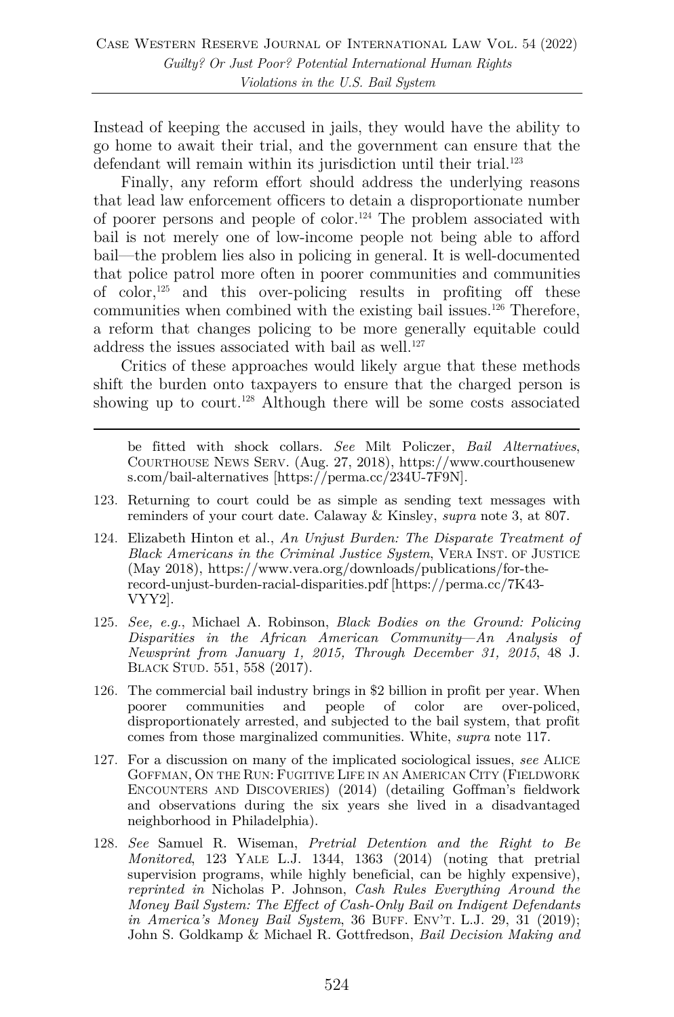Instead of keeping the accused in jails, they would have the ability to go home to await their trial, and the government can ensure that the defendant will remain within its jurisdiction until their trial.<sup>123</sup>

Finally, any reform effort should address the underlying reasons that lead law enforcement officers to detain a disproportionate number of poorer persons and people of color.<sup>124</sup> The problem associated with bail is not merely one of low-income people not being able to afford bail––the problem lies also in policing in general. It is well-documented that police patrol more often in poorer communities and communities of color,<sup>125</sup> and this over-policing results in profiting off these communities when combined with the existing bail issues.<sup>126</sup> Therefore, a reform that changes policing to be more generally equitable could address the issues associated with bail as well.<sup>127</sup>

Critics of these approaches would likely argue that these methods shift the burden onto taxpayers to ensure that the charged person is showing up to court.<sup>128</sup> Although there will be some costs associated

be fitted with shock collars. *See* Milt Policzer, *Bail Alternatives*, COURTHOUSE NEWS SERV. (Aug. 27, 2018), https://www.courthousenew s.com/bail-alternatives [https://perma.cc/234U-7F9N].

- 123. Returning to court could be as simple as sending text messages with reminders of your court date. Calaway & Kinsley, *supra* note 3, at 807.
- 124. Elizabeth Hinton et al., *An Unjust Burden: The Disparate Treatment of Black Americans in the Criminal Justice System*, VERA INST. OF JUSTICE (May 2018), https://www.vera.org/downloads/publications/for-therecord-unjust-burden-racial-disparities.pdf [https://perma.cc/7K43- VYY2].
- 125. *See, e.g.*, Michael A. Robinson, *Black Bodies on the Ground: Policing Disparities in the African American Community*––*An Analysis of Newsprint from January 1, 2015, Through December 31, 2015*, 48 J. BLACK STUD. 551, 558 (2017).
- 126. The commercial bail industry brings in \$2 billion in profit per year. When poorer communities and people of color are over-policed, communities and people disproportionately arrested, and subjected to the bail system, that profit comes from those marginalized communities. White, *supra* note 117.
- 127. For a discussion on many of the implicated sociological issues, *see* ALICE GOFFMAN, ON THE RUN: FUGITIVE LIFE IN AN AMERICAN CITY (FIELDWORK ENCOUNTERS AND DISCOVERIES) (2014) (detailing Goffman's fieldwork and observations during the six years she lived in a disadvantaged neighborhood in Philadelphia).
- 128. *See* Samuel R. Wiseman, *Pretrial Detention and the Right to Be Monitored*, 123 YALE L.J. 1344, 1363 (2014) (noting that pretrial supervision programs, while highly beneficial, can be highly expensive). *reprinted in* Nicholas P. Johnson, *Cash Rules Everything Around the Money Bail System: The Effect of Cash-Only Bail on Indigent Defendants in America's Money Bail System*, 36 BUFF. ENV'T. L.J. 29, 31 (2019); John S. Goldkamp & Michael R. Gottfredson, *Bail Decision Making and*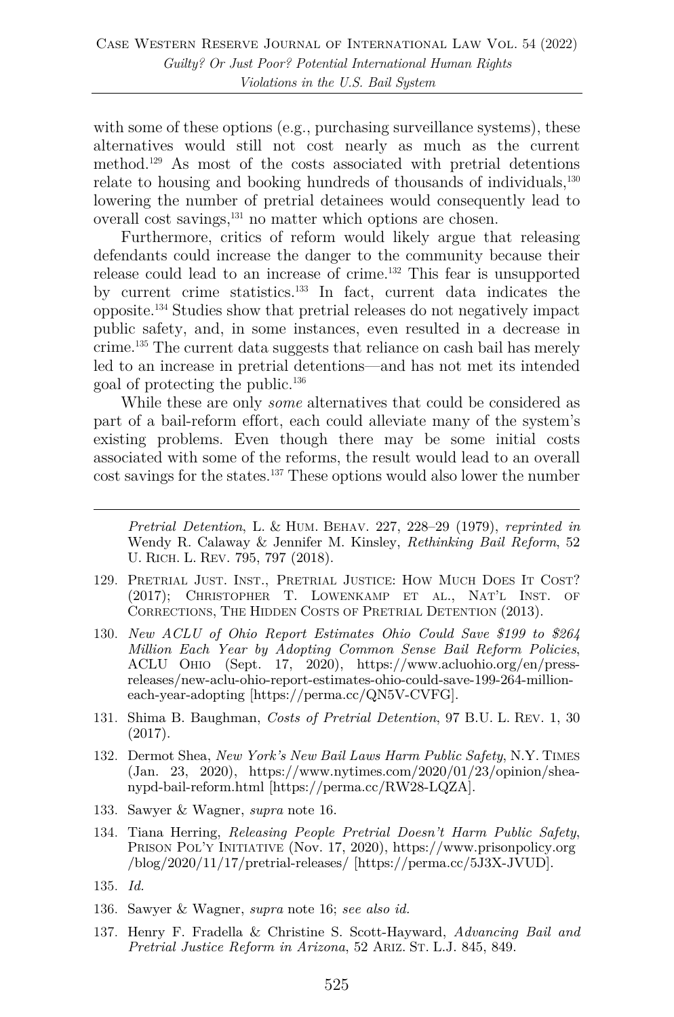with some of these options (e.g., purchasing surveillance systems), these alternatives would still not cost nearly as much as the current method.129 As most of the costs associated with pretrial detentions relate to housing and booking hundreds of thousands of individuals,<sup>130</sup> lowering the number of pretrial detainees would consequently lead to overall cost savings,<sup>131</sup> no matter which options are chosen.

Furthermore, critics of reform would likely argue that releasing defendants could increase the danger to the community because their release could lead to an increase of crime.132 This fear is unsupported by current crime statistics.133 In fact, current data indicates the opposite.134 Studies show that pretrial releases do not negatively impact public safety, and, in some instances, even resulted in a decrease in crime.135 The current data suggests that reliance on cash bail has merely led to an increase in pretrial detentions––and has not met its intended goal of protecting the public.136

While these are only *some* alternatives that could be considered as part of a bail-reform effort, each could alleviate many of the system's existing problems. Even though there may be some initial costs associated with some of the reforms, the result would lead to an overall cost savings for the states.137 These options would also lower the number

*Pretrial Detention*, L. & HUM. BEHAV. 227, 228–29 (1979), *reprinted in*  Wendy R. Calaway & Jennifer M. Kinsley, *Rethinking Bail Reform*, 52 U. RICH. L. REV. 795, 797 (2018).

- 129. PRETRIAL JUST. INST., PRETRIAL JUSTICE: HOW MUCH DOES IT COST? (2017); CHRISTOPHER T. LOWENKAMP ET AL., NAT'L INST. OF CORRECTIONS, THE HIDDEN COSTS OF PRETRIAL DETENTION (2013).
- 130. *New ACLU of Ohio Report Estimates Ohio Could Save \$199 to \$264 Million Each Year by Adopting Common Sense Bail Reform Policies*, ACLU OHIO (Sept. 17, 2020), https://www.acluohio.org/en/pressreleases/new-aclu-ohio-report-estimates-ohio-could-save-199-264-millioneach-year-adopting [https://perma.cc/QN5V-CVFG].
- 131. Shima B. Baughman, *Costs of Pretrial Detention*, 97 B.U. L. REV. 1, 30 (2017).
- 132. Dermot Shea, *New York's New Bail Laws Harm Public Safety*, N.Y. TIMES (Jan. 23, 2020), https://www.nytimes.com/2020/01/23/opinion/sheanypd-bail-reform.html [https://perma.cc/RW28-LQZA].
- 133. Sawyer & Wagner, *supra* note 16.
- 134. Tiana Herring, *Releasing People Pretrial Doesn't Harm Public Safety*, PRISON POL'Y INITIATIVE (Nov. 17, 2020), https://www.prisonpolicy.org /blog/2020/11/17/pretrial-releases/ [https://perma.cc/5J3X-JVUD].
- 135. *Id.*
- 136. Sawyer & Wagner, *supra* note 16; *see also id.*
- 137. Henry F. Fradella & Christine S. Scott-Hayward, *Advancing Bail and Pretrial Justice Reform in Arizona*, 52 ARIZ. ST. L.J. 845, 849.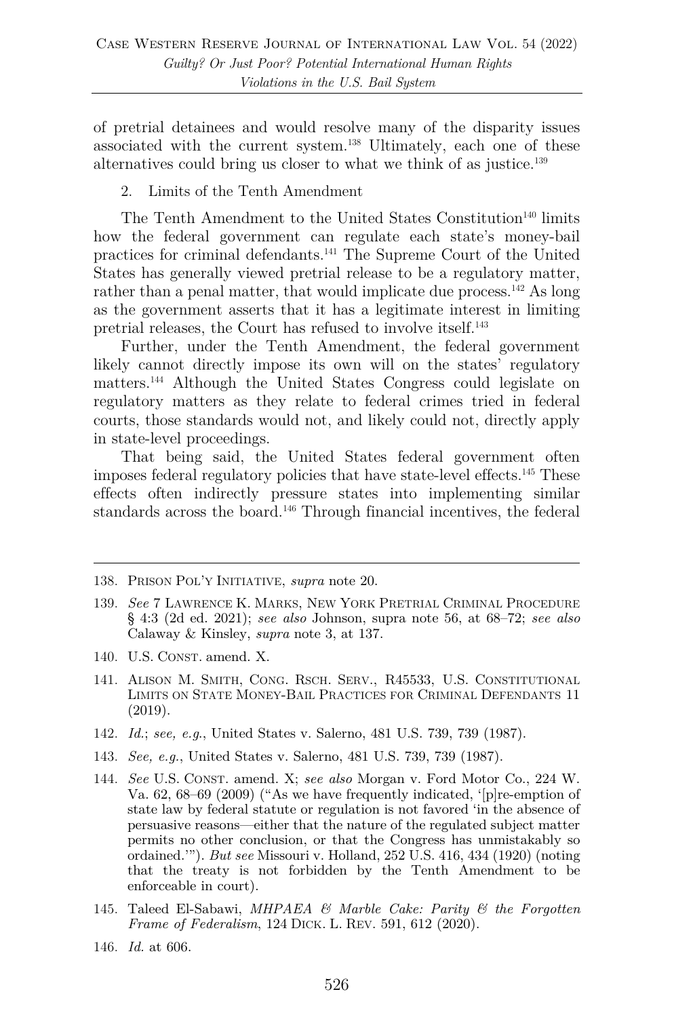of pretrial detainees and would resolve many of the disparity issues associated with the current system.138 Ultimately, each one of these alternatives could bring us closer to what we think of as justice.139

2. Limits of the Tenth Amendment

The Tenth Amendment to the United States Constitution<sup>140</sup> limits how the federal government can regulate each state's money-bail practices for criminal defendants.141 The Supreme Court of the United States has generally viewed pretrial release to be a regulatory matter, rather than a penal matter, that would implicate due process.<sup>142</sup> As long as the government asserts that it has a legitimate interest in limiting pretrial releases, the Court has refused to involve itself. 143

Further, under the Tenth Amendment, the federal government likely cannot directly impose its own will on the states' regulatory matters.144 Although the United States Congress could legislate on regulatory matters as they relate to federal crimes tried in federal courts, those standards would not, and likely could not, directly apply in state-level proceedings.

That being said, the United States federal government often imposes federal regulatory policies that have state-level effects.145 These effects often indirectly pressure states into implementing similar standards across the board.146 Through financial incentives, the federal

- 140. U.S. CONST. amend. X.
- 141. ALISON M. SMITH, CONG. RSCH. SERV., R45533, U.S. CONSTITUTIONAL LIMITS ON STATE MONEY-BAIL PRACTICES FOR CRIMINAL DEFENDANTS 11 (2019).
- 142. *Id.*; *see, e.g*., United States v. Salerno, 481 U.S. 739, 739 (1987).
- 143. *See, e.g.*, United States v. Salerno, 481 U.S. 739, 739 (1987).
- 144. *See* U.S. CONST. amend. X; *see also* Morgan v. Ford Motor Co., 224 W. Va. 62, 68–69 (2009) ("As we have frequently indicated, '[p]re-emption of state law by federal statute or regulation is not favored 'in the absence of persuasive reasons—either that the nature of the regulated subject matter permits no other conclusion, or that the Congress has unmistakably so ordained.'"). *But see* Missouri v. Holland, 252 U.S. 416, 434 (1920) (noting that the treaty is not forbidden by the Tenth Amendment to be enforceable in court).
- 145. Taleed El-Sabawi, *MHPAEA & Marble Cake: Parity & the Forgotten Frame of Federalism*, 124 DICK. L. REV. 591, 612 (2020).
- 146. *Id.* at 606.

<sup>138.</sup> PRISON POL'Y INITIATIVE, *supra* note 20.

<sup>139.</sup> *See* 7 LAWRENCE K. MARKS, NEW YORK PRETRIAL CRIMINAL PROCEDURE § 4:3 (2d ed. 2021); *see also* Johnson, supra note 56, at 68–72; *see also* Calaway & Kinsley, *supra* note 3, at 137.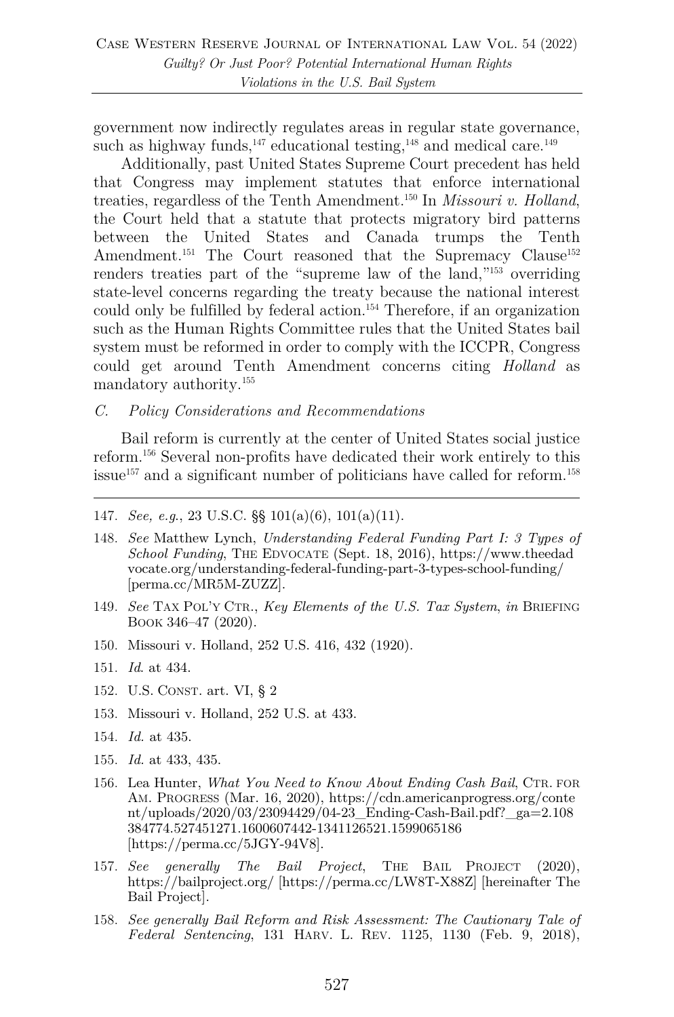government now indirectly regulates areas in regular state governance, such as highway funds, $147$  educational testing, $148$  and medical care. $149$ 

Additionally, past United States Supreme Court precedent has held that Congress may implement statutes that enforce international treaties, regardless of the Tenth Amendment.150 In *Missouri v. Holland*, the Court held that a statute that protects migratory bird patterns between the United States and Canada trumps the Tenth Amendment.<sup>151</sup> The Court reasoned that the Supremacy Clause<sup>152</sup> renders treaties part of the "supreme law of the land,"153 overriding state-level concerns regarding the treaty because the national interest could only be fulfilled by federal action.<sup>154</sup> Therefore, if an organization such as the Human Rights Committee rules that the United States bail system must be reformed in order to comply with the ICCPR, Congress could get around Tenth Amendment concerns citing *Holland* as mandatory authority.155

#### *C. Policy Considerations and Recommendations*

Bail reform is currently at the center of United States social justice reform.156 Several non-profits have dedicated their work entirely to this issue<sup>157</sup> and a significant number of politicians have called for reform.<sup>158</sup>

- 148. *See* Matthew Lynch, *Understanding Federal Funding Part I: 3 Types of School Funding*, THE EDVOCATE (Sept. 18, 2016), https://www.theedad vocate.org/understanding-federal-funding-part-3-types-school-funding/ [perma.cc/MR5M-ZUZZ].
- 149. *See* TAX POL'Y CTR., *Key Elements of the U.S. Tax System*, *in* BRIEFING BOOK 346–47 (2020).
- 150. Missouri v. Holland, 252 U.S. 416, 432 (1920).
- 151. *Id*. at 434.
- 152. U.S. CONST. art. VI, § 2
- 153. Missouri v. Holland, 252 U.S. at 433.
- 154. *Id.* at 435.
- 155. *Id.* at 433, 435.
- 156. Lea Hunter, *What You Need to Know About Ending Cash Bail*, CTR. FOR AM. PROGRESS (Mar. 16, 2020), https://cdn.americanprogress.org/conte nt/uploads/2020/03/23094429/04-23 Ending-Cash-Bail.pdf?  $ga=2.108$ 384774.527451271.1600607442-1341126521.1599065186 [https://perma.cc/5JGY-94V8].
- 157. *See generally The Bail Project*, THE BAIL PROJECT (2020), https://bailproject.org/ [https://perma.cc/LW8T-X88Z] [hereinafter The Bail Project].
- 158. *See generally Bail Reform and Risk Assessment: The Cautionary Tale of Federal Sentencing*, 131 HARV. L. REV. 1125, 1130 (Feb. 9, 2018),

<sup>147.</sup> *See, e.g*., 23 U.S.C. §§ 101(a)(6), 101(a)(11).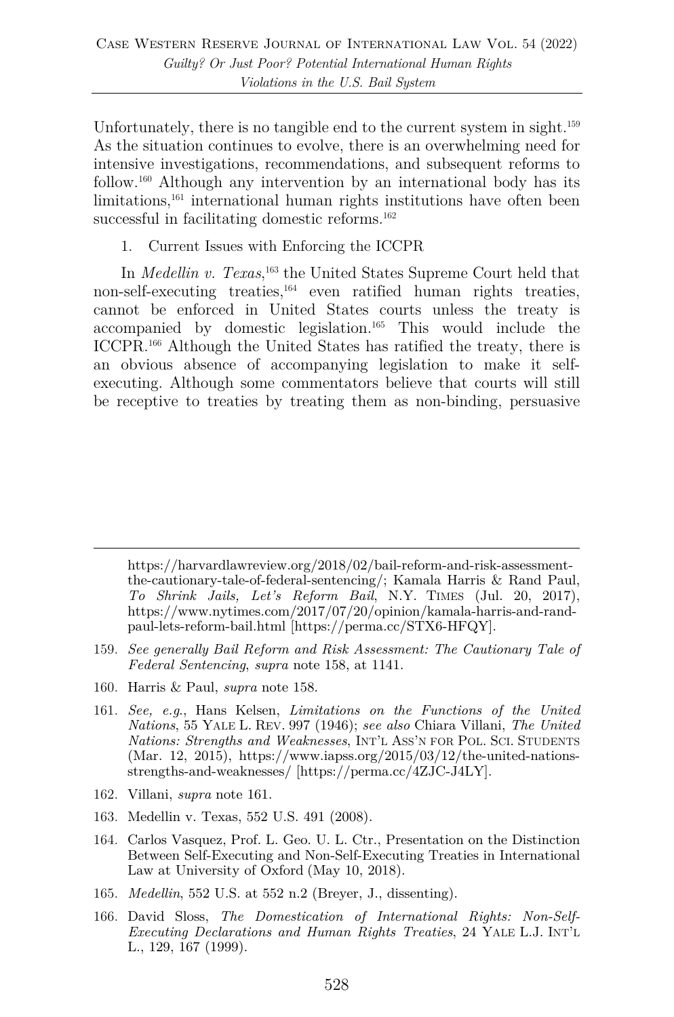Unfortunately, there is no tangible end to the current system in sight.<sup>159</sup> As the situation continues to evolve, there is an overwhelming need for intensive investigations, recommendations, and subsequent reforms to follow.160 Although any intervention by an international body has its limitations,<sup>161</sup> international human rights institutions have often been successful in facilitating domestic reforms.<sup>162</sup>

1. Current Issues with Enforcing the ICCPR

In *Medellin v. Texas*, <sup>163</sup> the United States Supreme Court held that non-self-executing treaties, <sup>164</sup> even ratified human rights treaties, cannot be enforced in United States courts unless the treaty is accompanied by domestic legislation.165 This would include the ICCPR.166 Although the United States has ratified the treaty, there is an obvious absence of accompanying legislation to make it selfexecuting. Although some commentators believe that courts will still be receptive to treaties by treating them as non-binding, persuasive

https://harvardlawreview.org/2018/02/bail-reform-and-risk-assessmentthe-cautionary-tale-of-federal-sentencing/; Kamala Harris & Rand Paul, *To Shrink Jails, Let's Reform Bail*, N.Y. TIMES (Jul. 20, 2017), https://www.nytimes.com/2017/07/20/opinion/kamala-harris-and-randpaul-lets-reform-bail.html [https://perma.cc/STX6-HFQY].

- 159. *See generally Bail Reform and Risk Assessment: The Cautionary Tale of Federal Sentencing*, *supra* note 158, at 1141.
- 160. Harris & Paul, *supra* note 158.
- 161. *See, e.g*., Hans Kelsen, *Limitations on the Functions of the United Nations*, 55 YALE L. REV. 997 (1946); *see also* Chiara Villani, *The United Nations: Strengths and Weaknesses*, INT'L ASS'N FOR POL. SCI. STUDENTS (Mar. 12, 2015), https://www.iapss.org/2015/03/12/the-united-nationsstrengths-and-weaknesses/ [https://perma.cc/4ZJC-J4LY].
- 162. Villani, *supra* note 161.
- 163. Medellin v. Texas, 552 U.S. 491 (2008).
- 164. Carlos Vasquez, Prof. L. Geo. U. L. Ctr., Presentation on the Distinction Between Self-Executing and Non-Self-Executing Treaties in International Law at University of Oxford (May 10, 2018).
- 165. *Medellin*, 552 U.S. at 552 n.2 (Breyer, J., dissenting).
- 166. David Sloss, *The Domestication of International Rights: Non-Self-Executing Declarations and Human Rights Treaties*, 24 YALE L.J. INT'L L., 129, 167 (1999).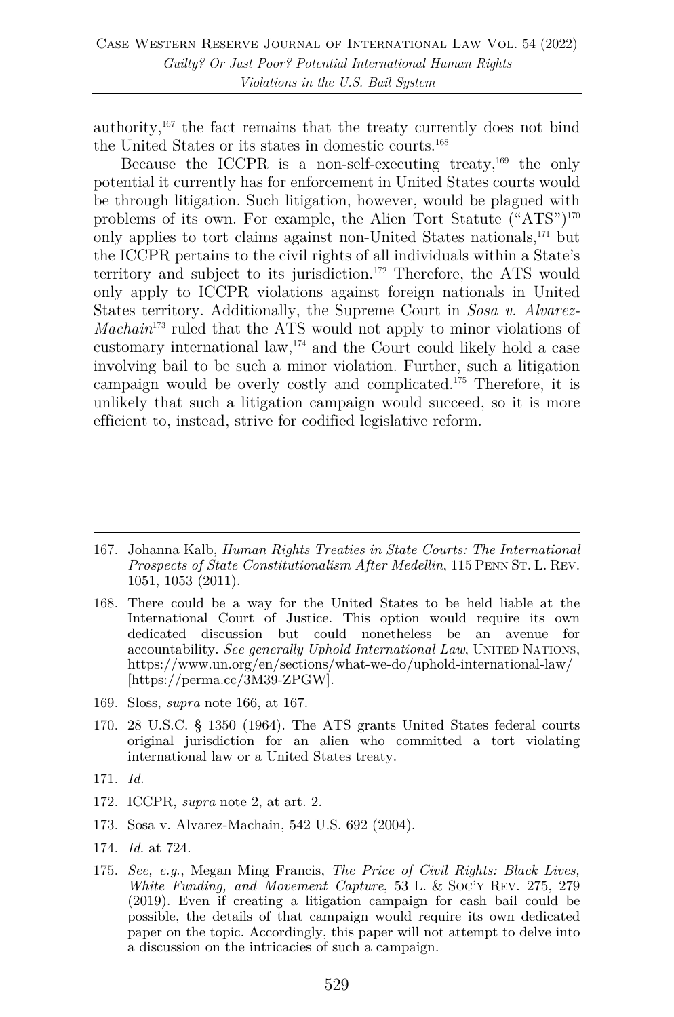authority, $167$  the fact remains that the treaty currently does not bind the United States or its states in domestic courts. 168

Because the ICCPR is a non-self-executing treaty,  $^{169}$  the only potential it currently has for enforcement in United States courts would be through litigation. Such litigation, however, would be plagued with problems of its own. For example, the Alien Tort Statute ("ATS")170 only applies to tort claims against non-United States nationals,171 but the ICCPR pertains to the civil rights of all individuals within a State's territory and subject to its jurisdiction.172 Therefore, the ATS would only apply to ICCPR violations against foreign nationals in United States territory. Additionally, the Supreme Court in *Sosa v. Alvarez-Machain*<sup>173</sup> ruled that the ATS would not apply to minor violations of customary international law, $174$  and the Court could likely hold a case involving bail to be such a minor violation. Further, such a litigation campaign would be overly costly and complicated.175 Therefore, it is unlikely that such a litigation campaign would succeed, so it is more efficient to, instead, strive for codified legislative reform.

- 168. There could be a way for the United States to be held liable at the International Court of Justice. This option would require its own dedicated discussion but could nonetheless be an avenue for accountability. *See generally Uphold International Law*, UNITED NATIONS, https://www.un.org/en/sections/what-we-do/uphold-international-law/ [https://perma.cc/3M39-ZPGW].
- 169. Sloss, *supra* note 166, at 167.
- 170. 28 U.S.C. § 1350 (1964). The ATS grants United States federal courts original jurisdiction for an alien who committed a tort violating international law or a United States treaty.
- 171. *Id.*
- 172. ICCPR, *supra* note 2, at art. 2.
- 173. Sosa v. Alvarez-Machain, 542 U.S. 692 (2004).
- 174. *Id*. at 724.
- 175. *See, e.g*., Megan Ming Francis, *The Price of Civil Rights: Black Lives, White Funding, and Movement Capture*, 53 L. & SOC'Y REV. 275, 279 (2019). Even if creating a litigation campaign for cash bail could be possible, the details of that campaign would require its own dedicated paper on the topic. Accordingly, this paper will not attempt to delve into a discussion on the intricacies of such a campaign.

<sup>167.</sup> Johanna Kalb, *Human Rights Treaties in State Courts: The International Prospects of State Constitutionalism After Medellin*, 115 PENN ST. L. REV. 1051, 1053 (2011).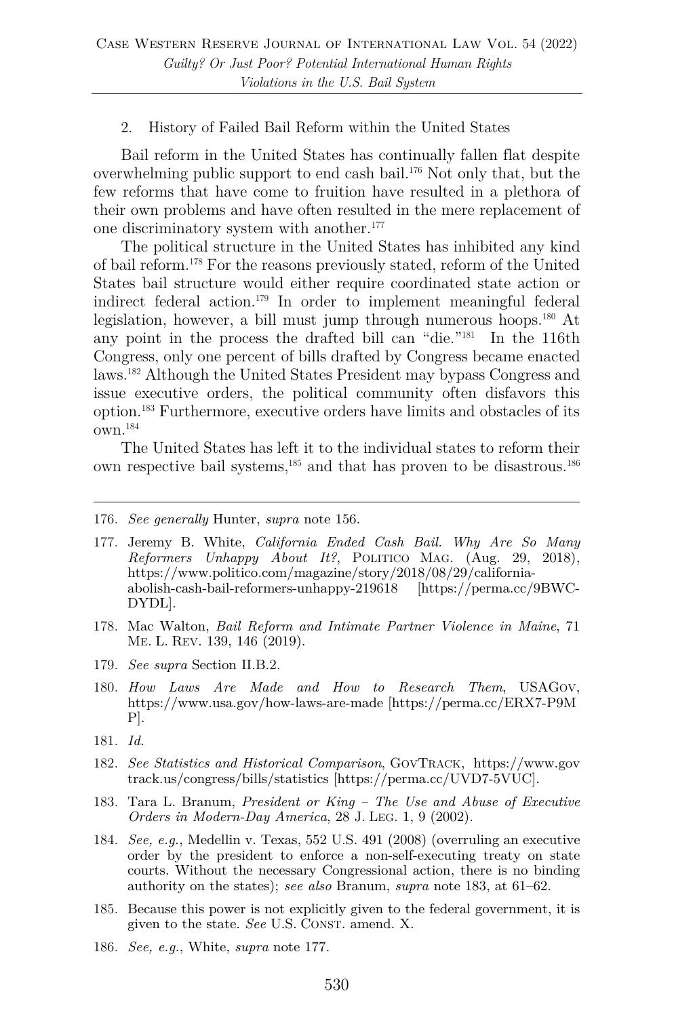#### 2. History of Failed Bail Reform within the United States

Bail reform in the United States has continually fallen flat despite overwhelming public support to end cash bail.176 Not only that, but the few reforms that have come to fruition have resulted in a plethora of their own problems and have often resulted in the mere replacement of one discriminatory system with another.<sup>177</sup>

The political structure in the United States has inhibited any kind of bail reform.178 For the reasons previously stated, reform of the United States bail structure would either require coordinated state action or indirect federal action.179 In order to implement meaningful federal legislation, however, a bill must jump through numerous hoops.180 At any point in the process the drafted bill can "die."181 In the 116th Congress, only one percent of bills drafted by Congress became enacted laws.182 Although the United States President may bypass Congress and issue executive orders, the political community often disfavors this option.183 Furthermore, executive orders have limits and obstacles of its own.184

The United States has left it to the individual states to reform their own respective bail systems,<sup>185</sup> and that has proven to be disastrous.<sup>186</sup>

- 177. Jeremy B. White, *California Ended Cash Bail. Why Are So Many Reformers Unhappy About It?*, POLITICO MAG. (Aug. 29, 2018), https://www.politico.com/magazine/story/2018/08/29/californiaabolish-cash-bail-reformers-unhappy-219618 [https://perma.cc/9BWC-DYDL].
- 178. Mac Walton, *Bail Reform and Intimate Partner Violence in Maine*, 71 ME. L. REV. 139, 146 (2019).
- 179. *See supra* Section II.B.2.
- 180. *How Laws Are Made and How to Research Them*, USAGOV, https://www.usa.gov/how-laws-are-made [https://perma.cc/ERX7-P9M P].
- 181. *Id.*
- 182. *See Statistics and Historical Comparison*, GOVTRACK, https://www.gov track.us/congress/bills/statistics [https://perma.cc/UVD7-5VUC].
- 183. Tara L. Branum, *President or King – The Use and Abuse of Executive Orders in Modern-Day America*, 28 J. LEG. 1, 9 (2002).
- 184. *See, e.g.*, Medellin v. Texas, 552 U.S. 491 (2008) (overruling an executive order by the president to enforce a non-self-executing treaty on state courts. Without the necessary Congressional action, there is no binding authority on the states); *see also* Branum, *supra* note 183, at 61–62.
- 185. Because this power is not explicitly given to the federal government, it is given to the state. *See* U.S. CONST. amend. X.
- 186. *See, e.g.*, White, *supra* note 177.

<sup>176.</sup> *See generally* Hunter, *supra* note 156.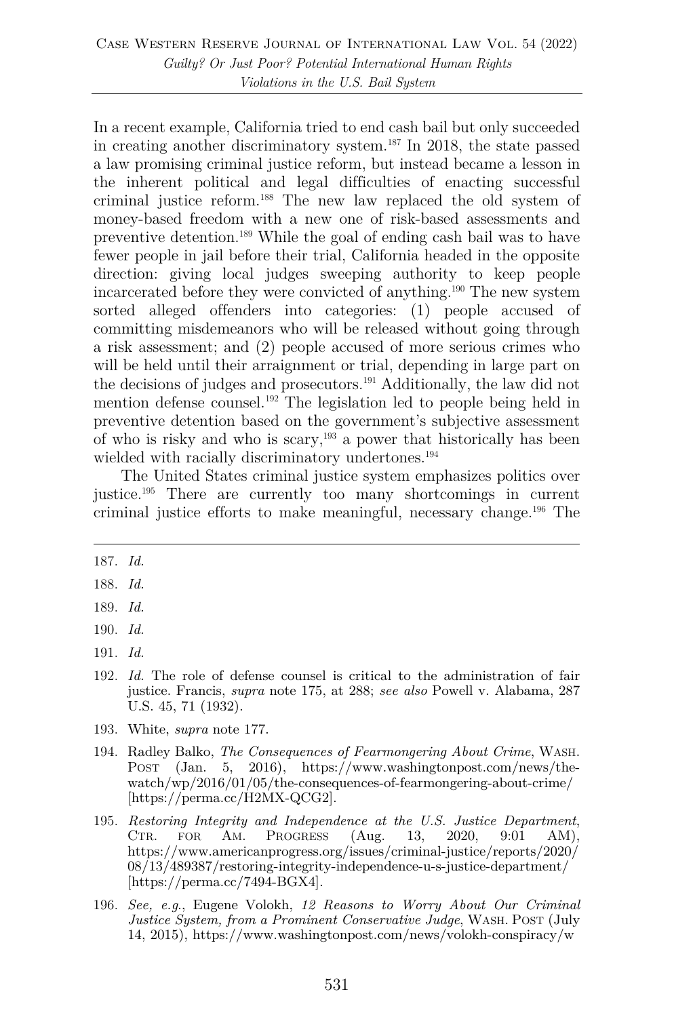In a recent example, California tried to end cash bail but only succeeded in creating another discriminatory system.187 In 2018, the state passed a law promising criminal justice reform, but instead became a lesson in the inherent political and legal difficulties of enacting successful criminal justice reform.188 The new law replaced the old system of money-based freedom with a new one of risk-based assessments and preventive detention.189 While the goal of ending cash bail was to have fewer people in jail before their trial, California headed in the opposite direction: giving local judges sweeping authority to keep people incarcerated before they were convicted of anything.190 The new system sorted alleged offenders into categories: (1) people accused of committing misdemeanors who will be released without going through a risk assessment; and (2) people accused of more serious crimes who will be held until their arraignment or trial, depending in large part on the decisions of judges and prosecutors.191 Additionally, the law did not mention defense counsel.192 The legislation led to people being held in preventive detention based on the government's subjective assessment of who is risky and who is scary,193 a power that historically has been wielded with racially discriminatory undertones.<sup>194</sup>

The United States criminal justice system emphasizes politics over justice.195 There are currently too many shortcomings in current criminal justice efforts to make meaningful, necessary change.196 The

- 191. *Id.*
- 192. *Id.* The role of defense counsel is critical to the administration of fair justice. Francis, *supra* note 175, at 288; *see also* Powell v. Alabama, 287 U.S. 45, 71 (1932).
- 193. White, *supra* note 177.
- 194. Radley Balko, *The Consequences of Fearmongering About Crime*, WASH. POST (Jan. 5, 2016), https://www.washingtonpost.com/news/thewatch/wp/2016/01/05/the-consequences-of-fearmongering-about-crime/ [https://perma.cc/H2MX-QCG2].
- 195. *Restoring Integrity and Independence at the U.S. Justice Department*, CTR. FOR AM. PROGRESS (Aug. 13, 2020, 9:01 AM), https://www.americanprogress.org/issues/criminal-justice/reports/2020/ 08/13/489387/restoring-integrity-independence-u-s-justice-department/ [https://perma.cc/7494-BGX4].
- 196. *See, e.g*., Eugene Volokh, *12 Reasons to Worry About Our Criminal Justice System, from a Prominent Conservative Judge*, WASH. POST (July 14, 2015), https://www.washingtonpost.com/news/volokh-conspiracy/w

<sup>187.</sup> *Id.*

<sup>188.</sup> *Id.*

<sup>189.</sup> *Id.*

<sup>190.</sup> *Id.*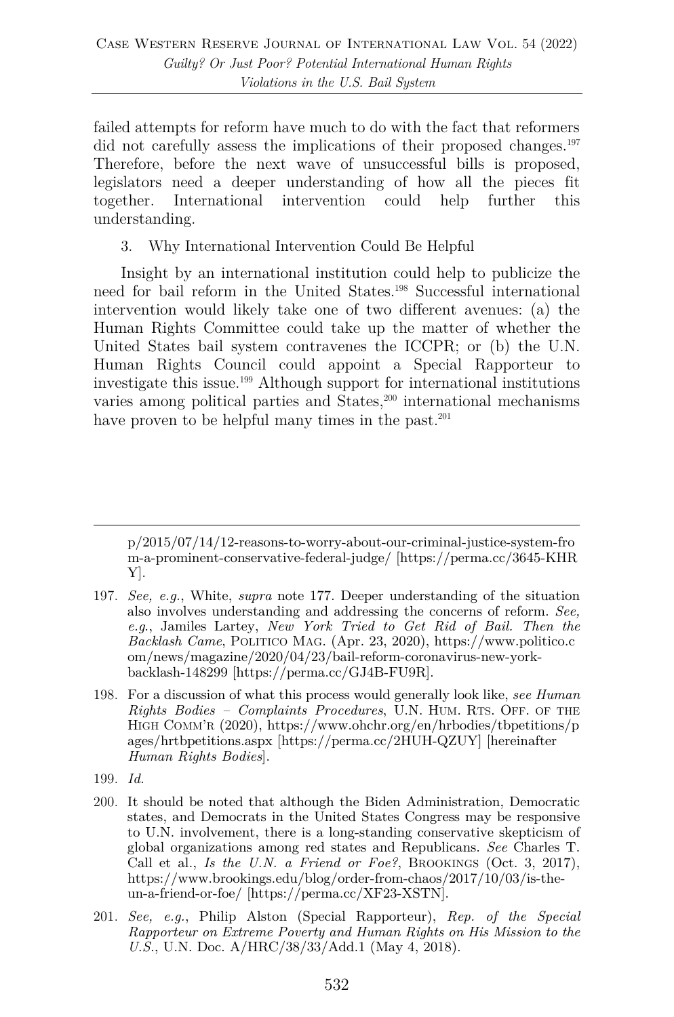failed attempts for reform have much to do with the fact that reformers did not carefully assess the implications of their proposed changes.<sup>197</sup> Therefore, before the next wave of unsuccessful bills is proposed, legislators need a deeper understanding of how all the pieces fit together. International intervention could help further this understanding.

3. Why International Intervention Could Be Helpful

Insight by an international institution could help to publicize the need for bail reform in the United States.198 Successful international intervention would likely take one of two different avenues: (a) the Human Rights Committee could take up the matter of whether the United States bail system contravenes the ICCPR; or (b) the U.N. Human Rights Council could appoint a Special Rapporteur to investigate this issue.199 Although support for international institutions varies among political parties and States,200 international mechanisms have proven to be helpful many times in the past.<sup>201</sup>

- 199. *Id.*
- 200. It should be noted that although the Biden Administration, Democratic states, and Democrats in the United States Congress may be responsive to U.N. involvement, there is a long-standing conservative skepticism of global organizations among red states and Republicans. *See* Charles T. Call et al., *Is the U.N. a Friend or Foe?*, BROOKINGS (Oct. 3, 2017), https://www.brookings.edu/blog/order-from-chaos/2017/10/03/is-theun-a-friend-or-foe/ [https://perma.cc/XF23-XSTN].
- 201. *See, e.g.*, Philip Alston (Special Rapporteur), *Rep. of the Special Rapporteur on Extreme Poverty and Human Rights on His Mission to the U.S.*, U.N. Doc. A/HRC/38/33/Add.1 (May 4, 2018).

p/2015/07/14/12-reasons-to-worry-about-our-criminal-justice-system-fro m-a-prominent-conservative-federal-judge/ [https://perma.cc/3645-KHR Y].

<sup>197.</sup> *See, e.g.*, White, *supra* note 177. Deeper understanding of the situation also involves understanding and addressing the concerns of reform. *See, e.g*., Jamiles Lartey, *New York Tried to Get Rid of Bail. Then the Backlash Came*, POLITICO MAG. (Apr. 23, 2020), https://www.politico.c om/news/magazine/2020/04/23/bail-reform-coronavirus-new-yorkbacklash-148299 [https://perma.cc/GJ4B-FU9R].

<sup>198.</sup> For a discussion of what this process would generally look like, *see Human Rights Bodies – Complaints Procedures*, U.N. HUM. RTS. OFF. OF THE HIGH COMM'R (2020), https://www.ohchr.org/en/hrbodies/tbpetitions/p ages/hrtbpetitions.aspx [https://perma.cc/2HUH-QZUY] [hereinafter *Human Rights Bodies*].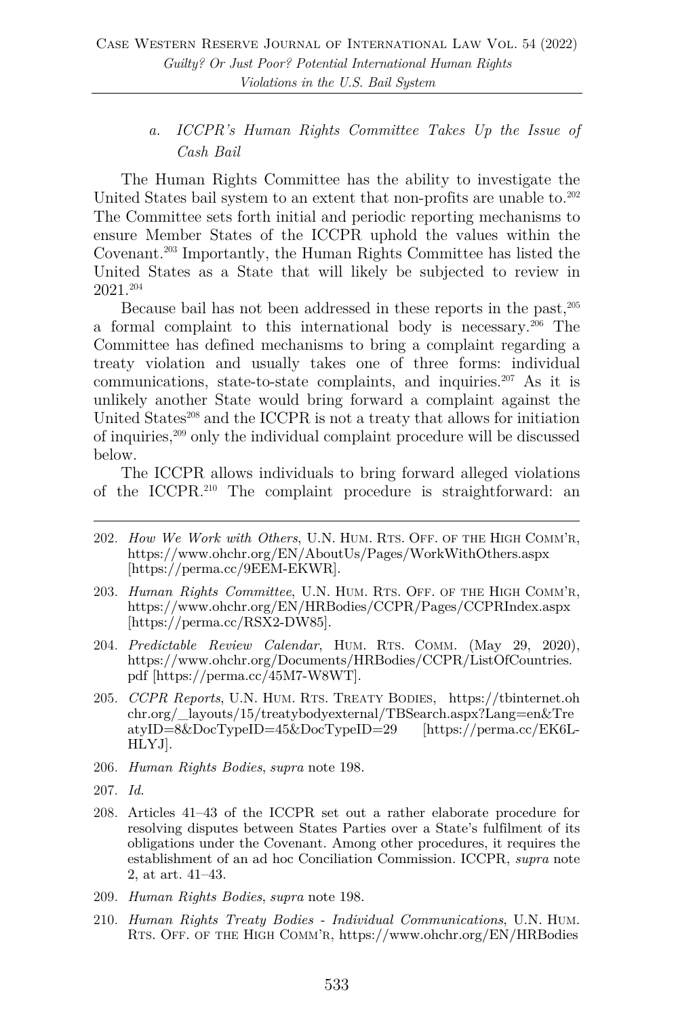# *a. ICCPR's Human Rights Committee Takes Up the Issue of Cash Bail*

The Human Rights Committee has the ability to investigate the United States bail system to an extent that non-profits are unable to.<sup>202</sup> The Committee sets forth initial and periodic reporting mechanisms to ensure Member States of the ICCPR uphold the values within the Covenant.203 Importantly, the Human Rights Committee has listed the United States as a State that will likely be subjected to review in 2021.204

Because bail has not been addressed in these reports in the past,  $205$ a formal complaint to this international body is necessary.206 The Committee has defined mechanisms to bring a complaint regarding a treaty violation and usually takes one of three forms: individual communications, state-to-state complaints, and inquiries.207 As it is unlikely another State would bring forward a complaint against the United States<sup>208</sup> and the ICCPR is not a treaty that allows for initiation of inquiries,209 only the individual complaint procedure will be discussed below.

The ICCPR allows individuals to bring forward alleged violations of the ICCPR.210 The complaint procedure is straightforward: an

- 202. *How We Work with Others*, U.N. HUM. RTS. OFF. OF THE HIGH COMM'R, https://www.ohchr.org/EN/AboutUs/Pages/WorkWithOthers.aspx [https://perma.cc/9EEM-EKWR].
- 203. *Human Rights Committee*, U.N. HUM. RTS. OFF. OF THE HIGH COMM'R, https://www.ohchr.org/EN/HRBodies/CCPR/Pages/CCPRIndex.aspx [https://perma.cc/RSX2-DW85].
- 204. *Predictable Review Calendar*, HUM. RTS. COMM. (May 29, 2020), https://www.ohchr.org/Documents/HRBodies/CCPR/ListOfCountries. pdf [https://perma.cc/45M7-W8WT].
- 205. *CCPR Reports*, U.N. HUM. RTS. TREATY BODIES, https://tbinternet.oh chr.org/\_layouts/15/treatybodyexternal/TBSearch.aspx?Lang=en&Tre atyID=8&DocTypeID=45&DocTypeID=29 [https://perma.cc/EK6L-HLYJ].
- 206. *Human Rights Bodies*, *supra* note 198.
- 207. *Id.*
- 208. Articles 41–43 of the ICCPR set out a rather elaborate procedure for resolving disputes between States Parties over a State's fulfilment of its obligations under the Covenant. Among other procedures, it requires the establishment of an ad hoc Conciliation Commission. ICCPR, *supra* note 2, at art. 41–43.
- 209. *Human Rights Bodies*, *supra* note 198.
- 210. *Human Rights Treaty Bodies - Individual Communications*, U.N. HUM. RTS. OFF. OF THE HIGH COMM'R, https://www.ohchr.org/EN/HRBodies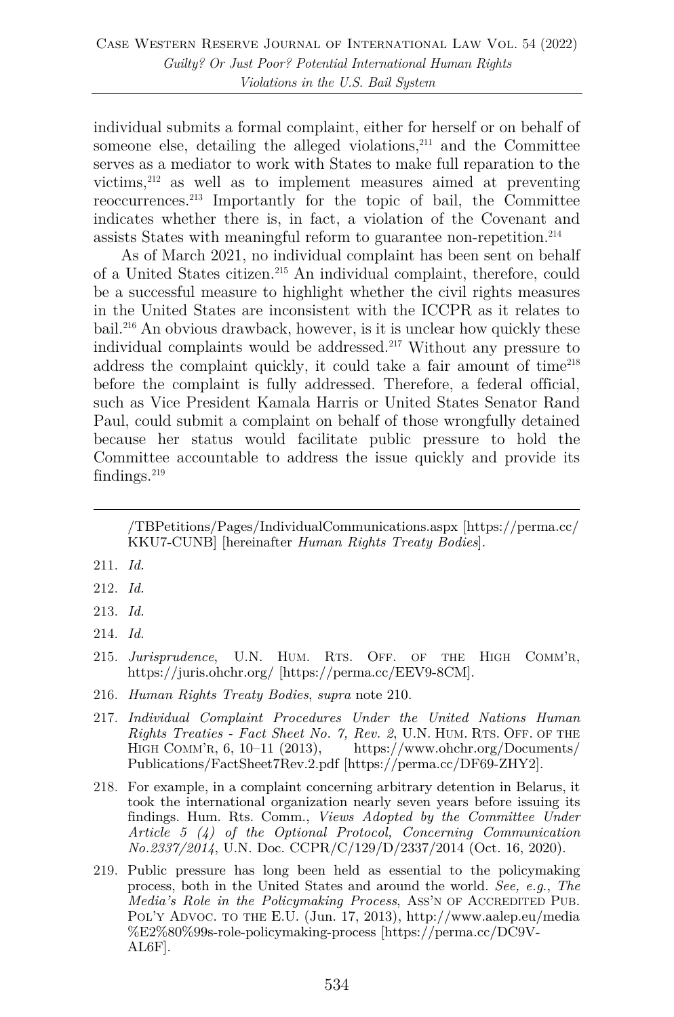individual submits a formal complaint, either for herself or on behalf of someone else, detailing the alleged violations, $211$  and the Committee serves as a mediator to work with States to make full reparation to the victims,212 as well as to implement measures aimed at preventing reoccurrences.213 Importantly for the topic of bail, the Committee indicates whether there is, in fact, a violation of the Covenant and assists States with meaningful reform to guarantee non-repetition.214

As of March 2021, no individual complaint has been sent on behalf of a United States citizen.215 An individual complaint, therefore, could be a successful measure to highlight whether the civil rights measures in the United States are inconsistent with the ICCPR as it relates to bail.216 An obvious drawback, however, is it is unclear how quickly these individual complaints would be addressed.217 Without any pressure to address the complaint quickly, it could take a fair amount of time<sup>218</sup> before the complaint is fully addressed. Therefore, a federal official, such as Vice President Kamala Harris or United States Senator Rand Paul, could submit a complaint on behalf of those wrongfully detained because her status would facilitate public pressure to hold the Committee accountable to address the issue quickly and provide its findings. $219$ 

/TBPetitions/Pages/IndividualCommunications.aspx [https://perma.cc/ KKU7-CUNB] [hereinafter *Human Rights Treaty Bodies*].

- 211. *Id.*
- 212. *Id.*
- 213. *Id.*
- 214. *Id.*
- 215. *Jurisprudence*, U.N. HUM. RTS. OFF. OF THE HIGH COMM'R, https://juris.ohchr.org/ [https://perma.cc/EEV9-8CM].
- 216. *Human Rights Treaty Bodies*, *supra* note 210.
- 217. *Individual Complaint Procedures Under the United Nations Human Rights Treaties - Fact Sheet No. 7, Rev. 2, U.N. HUM. RTS. OFF. OF THE HIGH COMM'R, 6, 10–11 (2013),* https://www.ohchr.org/Documents/ https://www.ohchr.org/Documents/ Publications/FactSheet7Rev.2.pdf [https://perma.cc/DF69-ZHY2].
- 218. For example, in a complaint concerning arbitrary detention in Belarus, it took the international organization nearly seven years before issuing its findings. Hum. Rts. Comm., *Views Adopted by the Committee Under Article 5 (4) of the Optional Protocol, Concerning Communication No.2337/2014*, U.N. Doc. CCPR/C/129/D/2337/2014 (Oct. 16, 2020).
- 219. Public pressure has long been held as essential to the policymaking process, both in the United States and around the world. *See, e.g*., *The Media's Role in the Policymaking Process*, ASS'N OF ACCREDITED PUB. POL'Y ADVOC. TO THE E.U. (Jun. 17, 2013), http://www.aalep.eu/media %E2%80%99s-role-policymaking-process [https://perma.cc/DC9V-AL6F].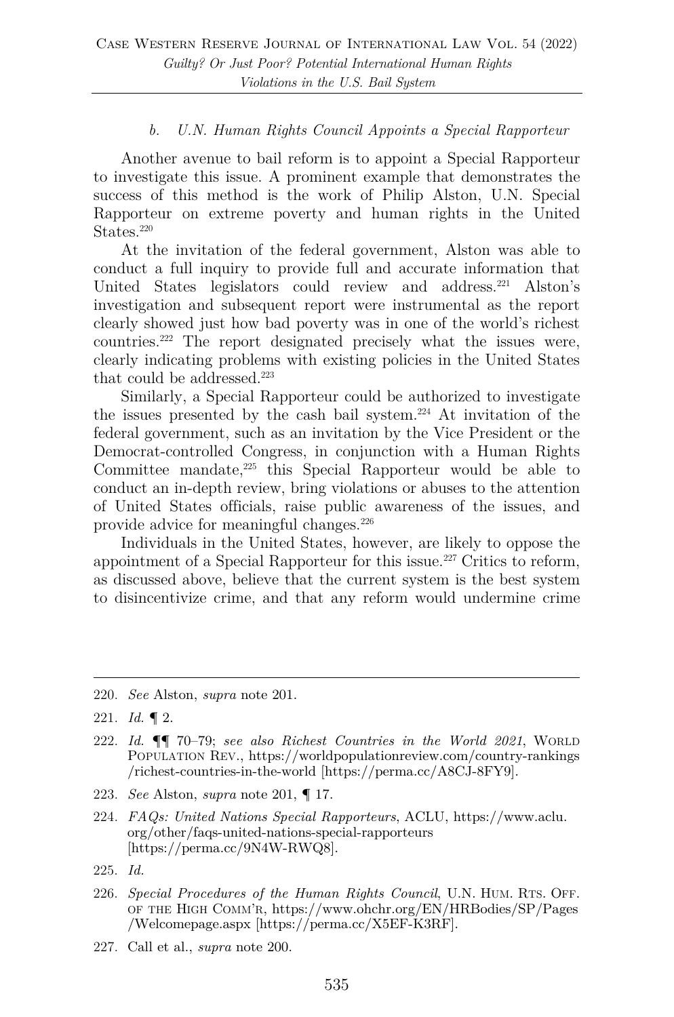## *b. U.N. Human Rights Council Appoints a Special Rapporteur*

Another avenue to bail reform is to appoint a Special Rapporteur to investigate this issue. A prominent example that demonstrates the success of this method is the work of Philip Alston, U.N. Special Rapporteur on extreme poverty and human rights in the United States.<sup>220</sup>

At the invitation of the federal government, Alston was able to conduct a full inquiry to provide full and accurate information that United States legislators could review and address.221 Alston's investigation and subsequent report were instrumental as the report clearly showed just how bad poverty was in one of the world's richest countries.222 The report designated precisely what the issues were, clearly indicating problems with existing policies in the United States that could be addressed.<sup>223</sup>

Similarly, a Special Rapporteur could be authorized to investigate the issues presented by the cash bail system.224 At invitation of the federal government, such as an invitation by the Vice President or the Democrat-controlled Congress, in conjunction with a Human Rights Committee mandate,225 this Special Rapporteur would be able to conduct an in-depth review, bring violations or abuses to the attention of United States officials, raise public awareness of the issues, and provide advice for meaningful changes.<sup>226</sup>

Individuals in the United States, however, are likely to oppose the appointment of a Special Rapporteur for this issue.227 Critics to reform, as discussed above, believe that the current system is the best system to disincentivize crime, and that any reform would undermine crime

- 223. *See* Alston, *supra* note 201, ¶ 17.
- 224. *FAQs: United Nations Special Rapporteurs*, ACLU, https://www.aclu. org/other/faqs-united-nations-special-rapporteurs [https://perma.cc/9N4W-RWQ8].
- 225. *Id.*
- 226. *Special Procedures of the Human Rights Council*, U.N. HUM. RTS. OFF. OF THE HIGH COMM'R, https://www.ohchr.org/EN/HRBodies/SP/Pages /Welcomepage.aspx [https://perma.cc/X5EF-K3RF].
- 227. Call et al., *supra* note 200.

<sup>220.</sup> *See* Alston, *supra* note 201.

<sup>221.</sup> *Id.* ¶ 2.

<sup>222.</sup> *Id.* ¶¶ 70–79; *see also Richest Countries in the World 2021*, WORLD POPULATION REV., https://worldpopulationreview.com/country-rankings /richest-countries-in-the-world [https://perma.cc/A8CJ-8FY9].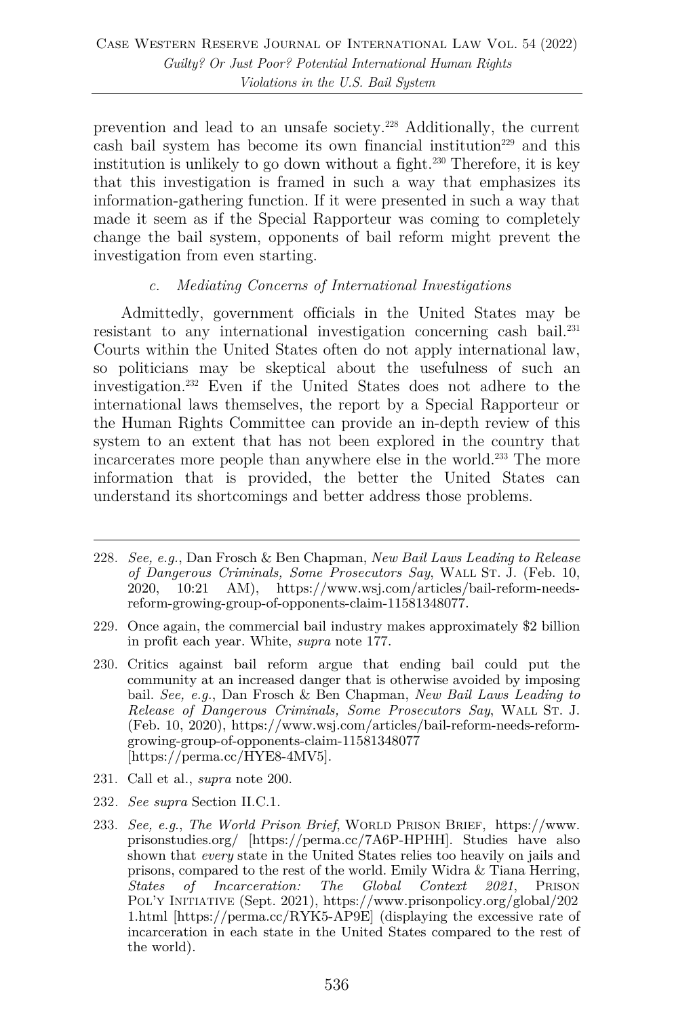prevention and lead to an unsafe society.228 Additionally, the current cash bail system has become its own financial institution<sup>229</sup> and this institution is unlikely to go down without a fight.<sup>230</sup> Therefore, it is key that this investigation is framed in such a way that emphasizes its information-gathering function. If it were presented in such a way that made it seem as if the Special Rapporteur was coming to completely change the bail system, opponents of bail reform might prevent the investigation from even starting.

### *c. Mediating Concerns of International Investigations*

Admittedly, government officials in the United States may be resistant to any international investigation concerning cash bail.<sup>231</sup> Courts within the United States often do not apply international law, so politicians may be skeptical about the usefulness of such an investigation.232 Even if the United States does not adhere to the international laws themselves, the report by a Special Rapporteur or the Human Rights Committee can provide an in-depth review of this system to an extent that has not been explored in the country that incarcerates more people than anywhere else in the world.233 The more information that is provided, the better the United States can understand its shortcomings and better address those problems.

- 231. Call et al., *supra* note 200.
- 232*. See supra* Section II.C.1.

<sup>228.</sup> *See, e.g.*, Dan Frosch & Ben Chapman, *New Bail Laws Leading to Release of Dangerous Criminals, Some Prosecutors Say*, WALL ST. J. (Feb. 10, 2020, 10:21 AM), https://www.wsj.com/articles/bail-reform-needsreform-growing-group-of-opponents-claim-11581348077.

<sup>229.</sup> Once again, the commercial bail industry makes approximately \$2 billion in profit each year. White, *supra* note 177.

<sup>230.</sup> Critics against bail reform argue that ending bail could put the community at an increased danger that is otherwise avoided by imposing bail. *See, e.g.*, Dan Frosch & Ben Chapman, *New Bail Laws Leading to Release of Dangerous Criminals, Some Prosecutors Say*, WALL ST. J. (Feb. 10, 2020), https://www.wsj.com/articles/bail-reform-needs-reformgrowing-group-of-opponents-claim-11581348077 [https://perma.cc/HYE8-4MV5].

<sup>233.</sup> *See, e.g*., *The World Prison Brief*, WORLD PRISON BRIEF, https://www. prisonstudies.org/ [https://perma.cc/7A6P-HPHH]. Studies have also shown that *every* state in the United States relies too heavily on jails and prisons, compared to the rest of the world. Emily Widra & Tiana Herring, *States of Incarceration: The Global Context 2021*, PRISON POL'Y INITIATIVE (Sept. 2021), https://www.prisonpolicy.org/global/202 1.html [https://perma.cc/RYK5-AP9E] (displaying the excessive rate of incarceration in each state in the United States compared to the rest of the world).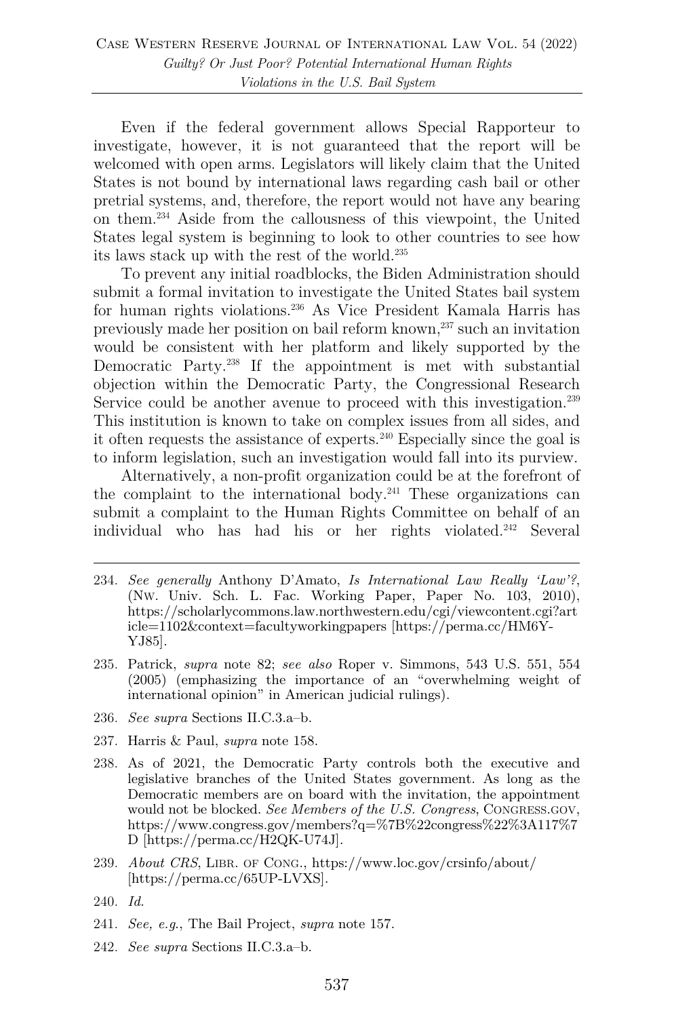Even if the federal government allows Special Rapporteur to investigate, however, it is not guaranteed that the report will be welcomed with open arms. Legislators will likely claim that the United States is not bound by international laws regarding cash bail or other pretrial systems, and, therefore, the report would not have any bearing on them.234 Aside from the callousness of this viewpoint, the United States legal system is beginning to look to other countries to see how its laws stack up with the rest of the world.235

To prevent any initial roadblocks, the Biden Administration should submit a formal invitation to investigate the United States bail system for human rights violations.236 As Vice President Kamala Harris has previously made her position on bail reform known,237 such an invitation would be consistent with her platform and likely supported by the Democratic Party.238 If the appointment is met with substantial objection within the Democratic Party, the Congressional Research Service could be another avenue to proceed with this investigation.<sup>239</sup> This institution is known to take on complex issues from all sides, and it often requests the assistance of experts.240 Especially since the goal is to inform legislation, such an investigation would fall into its purview.

Alternatively, a non-profit organization could be at the forefront of the complaint to the international body.<sup>241</sup> These organizations can submit a complaint to the Human Rights Committee on behalf of an individual who has had his or her rights violated.242 Several

- 234. *See generally* Anthony D'Amato, *Is International Law Really 'Law'?*, (NW. Univ. Sch. L. Fac. Working Paper, Paper No. 103, 2010), https://scholarlycommons.law.northwestern.edu/cgi/viewcontent.cgi?art icle=1102&context=facultyworkingpapers [https://perma.cc/HM6Y-YJ85].
- 235. Patrick, *supra* note 82; *see also* Roper v. Simmons, 543 U.S. 551, 554 (2005) (emphasizing the importance of an "overwhelming weight of international opinion" in American judicial rulings).
- 236. *See supra* Sections II.C.3.a–b.
- 237. Harris & Paul, *supra* note 158.
- 238. As of 2021, the Democratic Party controls both the executive and legislative branches of the United States government. As long as the Democratic members are on board with the invitation, the appointment would not be blocked. *See Members of the U.S. Congress*, CONGRESS.GOV, https://www.congress.gov/members?q=%7B%22congress%22%3A117%7 D [https://perma.cc/H2QK-U74J].
- 239. *About CRS*, LIBR. OF CONG., https://www.loc.gov/crsinfo/about/ [https://perma.cc/65UP-LVXS].
- 240. *Id.*
- 241. *See, e.g*., The Bail Project, *supra* note 157.
- 242. *See supra* Sections II.C.3.a–b.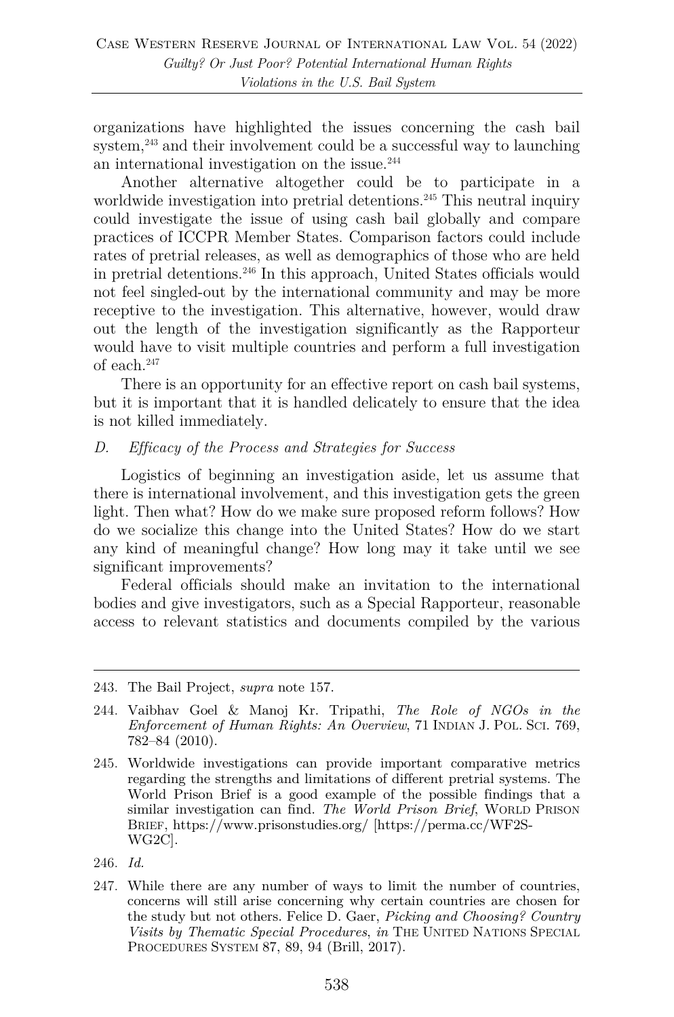organizations have highlighted the issues concerning the cash bail system, $^{243}$  and their involvement could be a successful way to launching an international investigation on the issue.<sup>244</sup>

Another alternative altogether could be to participate in a worldwide investigation into pretrial detentions.<sup>245</sup> This neutral inquiry could investigate the issue of using cash bail globally and compare practices of ICCPR Member States. Comparison factors could include rates of pretrial releases, as well as demographics of those who are held in pretrial detentions.246 In this approach, United States officials would not feel singled-out by the international community and may be more receptive to the investigation. This alternative, however, would draw out the length of the investigation significantly as the Rapporteur would have to visit multiple countries and perform a full investigation of each.<sup>247</sup>

There is an opportunity for an effective report on cash bail systems, but it is important that it is handled delicately to ensure that the idea is not killed immediately.

#### *D. Efficacy of the Process and Strategies for Success*

Logistics of beginning an investigation aside, let us assume that there is international involvement, and this investigation gets the green light. Then what? How do we make sure proposed reform follows? How do we socialize this change into the United States? How do we start any kind of meaningful change? How long may it take until we see significant improvements?

Federal officials should make an invitation to the international bodies and give investigators, such as a Special Rapporteur, reasonable access to relevant statistics and documents compiled by the various

<sup>243.</sup> The Bail Project, *supra* note 157.

<sup>244.</sup> Vaibhav Goel & Manoj Kr. Tripathi, *The Role of NGOs in the Enforcement of Human Rights: An Overview*, 71 INDIAN J. POL. SCI. 769, 782–84 (2010).

<sup>245.</sup> Worldwide investigations can provide important comparative metrics regarding the strengths and limitations of different pretrial systems. The World Prison Brief is a good example of the possible findings that a similar investigation can find. *The World Prison Brief*, WORLD PRISON BRIEF, https://www.prisonstudies.org/ [https://perma.cc/WF2S-WG2C].

<sup>246.</sup> *Id.*

<sup>247.</sup> While there are any number of ways to limit the number of countries, concerns will still arise concerning why certain countries are chosen for the study but not others. Felice D. Gaer, *Picking and Choosing? Country Visits by Thematic Special Procedures*, *in* THE UNITED NATIONS SPECIAL PROCEDURES SYSTEM 87, 89, 94 (Brill, 2017).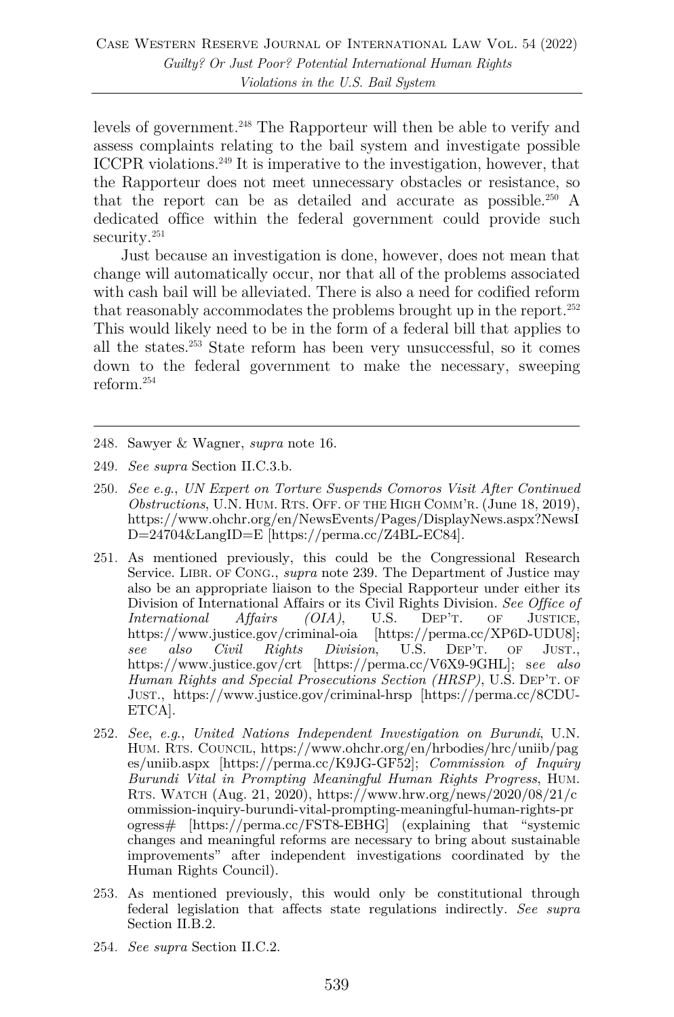levels of government.248 The Rapporteur will then be able to verify and assess complaints relating to the bail system and investigate possible ICCPR violations.249 It is imperative to the investigation, however, that the Rapporteur does not meet unnecessary obstacles or resistance, so that the report can be as detailed and accurate as possible. <sup>250</sup> A dedicated office within the federal government could provide such security.<sup>251</sup>

Just because an investigation is done, however, does not mean that change will automatically occur, nor that all of the problems associated with cash bail will be alleviated. There is also a need for codified reform that reasonably accommodates the problems brought up in the report.<sup>252</sup> This would likely need to be in the form of a federal bill that applies to all the states.253 State reform has been very unsuccessful, so it comes down to the federal government to make the necessary, sweeping reform.254

- 249. *See supra* Section II.C.3.b.
- 250. *See e.g*., *UN Expert on Torture Suspends Comoros Visit After Continued Obstructions*, U.N. HUM. RTS. OFF. OF THE HIGH COMM'R. (June 18, 2019), https://www.ohchr.org/en/NewsEvents/Pages/DisplayNews.aspx?NewsI D=24704&LangID=E [https://perma.cc/Z4BL-EC84].
- 251. As mentioned previously, this could be the Congressional Research Service. LIBR. OF CONG., *supra* note 239. The Department of Justice may also be an appropriate liaison to the Special Rapporteur under either its Division of International Affairs or its Civil Rights Division. *See Office of International Affairs (OIA)*, U.S. DEP'T. OF JUSTICE, *International Affairs (OIA)*, U.S. DEP'T. OF JUSTICE, https://www.justice.gov/criminal-oia [https://perma.cc/XP6D-UDU8];<br>see also Civil Rights Division, U.S. DEP'T. OF JUST., *see also Civil Rights Division*, U.S. DEP'T. OF JUST., https://www.justice.gov/crt [https://perma.cc/V6X9-9GHL]; s*ee also Human Rights and Special Prosecutions Section (HRSP)*, U.S. DEP'T. OF JUST., https://www.justice.gov/criminal-hrsp [https://perma.cc/8CDU-ETCA].
- 252. *See*, *e.g*., *United Nations Independent Investigation on Burundi*, U.N. HUM. RTS. COUNCIL, https://www.ohchr.org/en/hrbodies/hrc/uniib/pag es/uniib.aspx [https://perma.cc/K9JG-GF52]; *Commission of Inquiry Burundi Vital in Prompting Meaningful Human Rights Progress*, HUM. RTS. WATCH (Aug. 21, 2020), https://www.hrw.org/news/2020/08/21/c ommission-inquiry-burundi-vital-prompting-meaningful-human-rights-pr ogress# [https://perma.cc/FST8-EBHG] (explaining that "systemic changes and meaningful reforms are necessary to bring about sustainable improvements" after independent investigations coordinated by the Human Rights Council).
- 253. As mentioned previously, this would only be constitutional through federal legislation that affects state regulations indirectly. *See supra* Section II.B.2.
- 254. *See supra* Section II.C.2.

<sup>248.</sup> Sawyer & Wagner, *supra* note 16.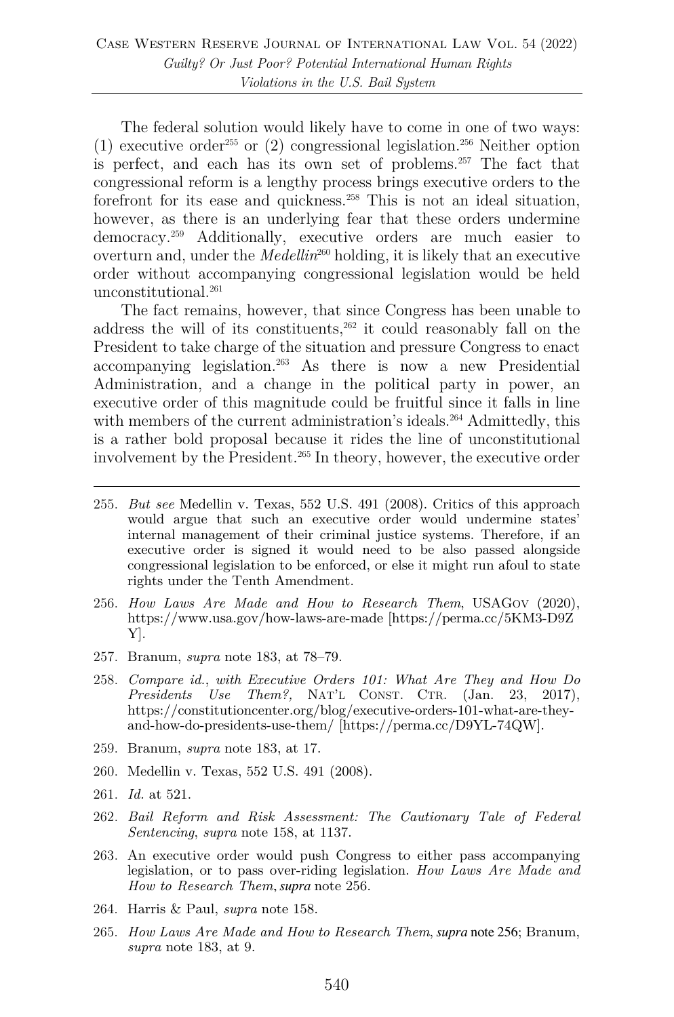The federal solution would likely have to come in one of two ways: (1) executive order<sup>255</sup> or (2) congressional legislation.<sup>256</sup> Neither option is perfect, and each has its own set of problems.257 The fact that congressional reform is a lengthy process brings executive orders to the forefront for its ease and quickness.<sup>258</sup> This is not an ideal situation, however, as there is an underlying fear that these orders undermine democracy.259 Additionally, executive orders are much easier to overturn and, under the *Medellin*<sup>260</sup> holding, it is likely that an executive order without accompanying congressional legislation would be held unconstitutional.<sup>261</sup>

The fact remains, however, that since Congress has been unable to address the will of its constituents, $262$  it could reasonably fall on the President to take charge of the situation and pressure Congress to enact accompanying legislation.263 As there is now a new Presidential Administration, and a change in the political party in power, an executive order of this magnitude could be fruitful since it falls in line with members of the current administration's ideals.<sup>264</sup> Admittedly, this is a rather bold proposal because it rides the line of unconstitutional involvement by the President.<sup>265</sup> In theory, however, the executive order

- 255. *But see* Medellin v. Texas, 552 U.S. 491 (2008). Critics of this approach would argue that such an executive order would undermine states' internal management of their criminal justice systems. Therefore, if an executive order is signed it would need to be also passed alongside congressional legislation to be enforced, or else it might run afoul to state rights under the Tenth Amendment.
- 256. *How Laws Are Made and How to Research Them*, USAGOV (2020), https://www.usa.gov/how-laws-are-made [https://perma.cc/5KM3-D9Z Y].
- 257. Branum, *supra* note 183, at 78–79.
- 258. *Compare id.*, *with Executive Orders 101: What Are They and How Do Presidents Use Them?,* NAT'L CONST. CTR. (Jan. 23, 2017), https://constitutioncenter.org/blog/executive-orders-101-what-are-theyand-how-do-presidents-use-them/ [https://perma.cc/D9YL-74QW].
- 259. Branum, *supra* note 183, at 17.
- 260. Medellin v. Texas, 552 U.S. 491 (2008).
- 261. *Id.* at 521.
- 262. *Bail Reform and Risk Assessment: The Cautionary Tale of Federal Sentencing*, *supra* note 158, at 1137.
- 263. An executive order would push Congress to either pass accompanying legislation, or to pass over-riding legislation. *How Laws Are Made and How to Research Them*, *supra* note 256.
- 264. Harris & Paul, *supra* note 158.
- 265. *How Laws Are Made and How to Research Them*, *supra* note 256; Branum, *supra* note 183, at 9.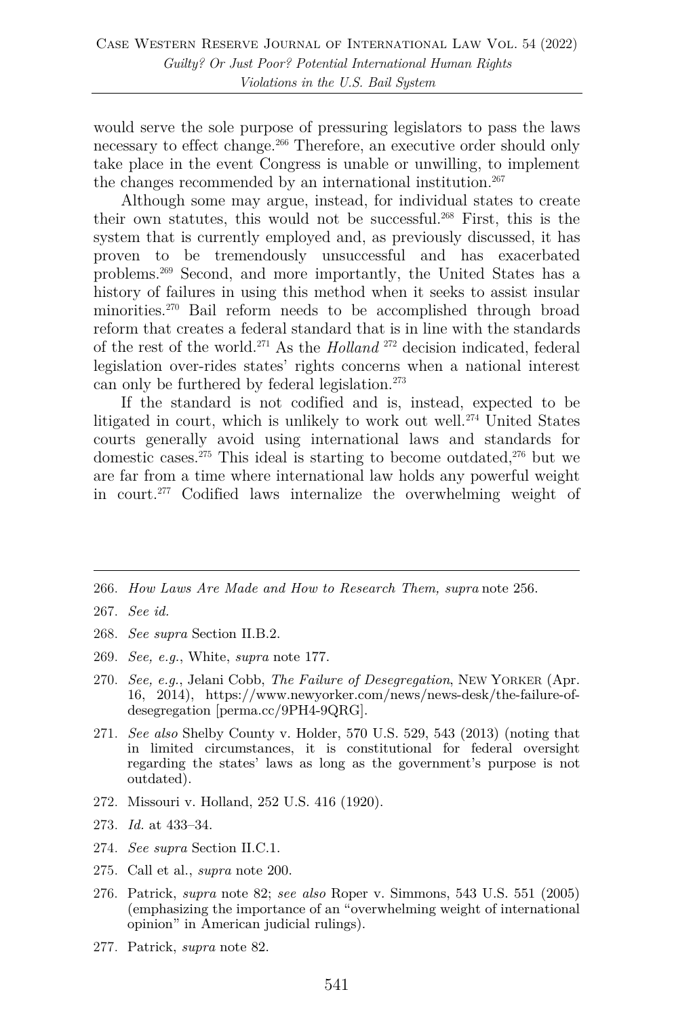would serve the sole purpose of pressuring legislators to pass the laws necessary to effect change.266 Therefore, an executive order should only take place in the event Congress is unable or unwilling, to implement the changes recommended by an international institution.<sup>267</sup>

Although some may argue, instead, for individual states to create their own statutes, this would not be successful.268 First, this is the system that is currently employed and, as previously discussed, it has proven to be tremendously unsuccessful and has exacerbated problems.269 Second, and more importantly, the United States has a history of failures in using this method when it seeks to assist insular minorities.270 Bail reform needs to be accomplished through broad reform that creates a federal standard that is in line with the standards of the rest of the world.271 As the *Holland* <sup>272</sup> decision indicated, federal legislation over-rides states' rights concerns when a national interest can only be furthered by federal legislation.273

If the standard is not codified and is, instead, expected to be litigated in court, which is unlikely to work out well.<sup>274</sup> United States courts generally avoid using international laws and standards for domestic cases.<sup>275</sup> This ideal is starting to become outdated,<sup>276</sup> but we are far from a time where international law holds any powerful weight in court.277 Codified laws internalize the overwhelming weight of

- 266. *How Laws Are Made and How to Research Them, supra* note 256.
- 267. *See id.*
- 268. *See supra* Section II.B.2.
- 269. *See, e.g.*, White, *supra* note 177.
- 270. *See, e.g.*, Jelani Cobb, *The Failure of Desegregation*, NEW YORKER (Apr. 16, 2014), https://www.newyorker.com/news/news-desk/the-failure-ofdesegregation [perma.cc/9PH4-9QRG].
- 271. *See also* Shelby County v. Holder, 570 U.S. 529, 543 (2013) (noting that in limited circumstances, it is constitutional for federal oversight regarding the states' laws as long as the government's purpose is not outdated).
- 272. Missouri v. Holland, 252 U.S. 416 (1920).
- 273. *Id.* at 433–34.
- 274. *See supra* Section II.C.1.
- 275. Call et al., *supra* note 200.
- 276. Patrick, *supra* note 82; *see also* Roper v. Simmons, 543 U.S. 551 (2005) (emphasizing the importance of an "overwhelming weight of international opinion" in American judicial rulings).
- 277. Patrick, *supra* note 82.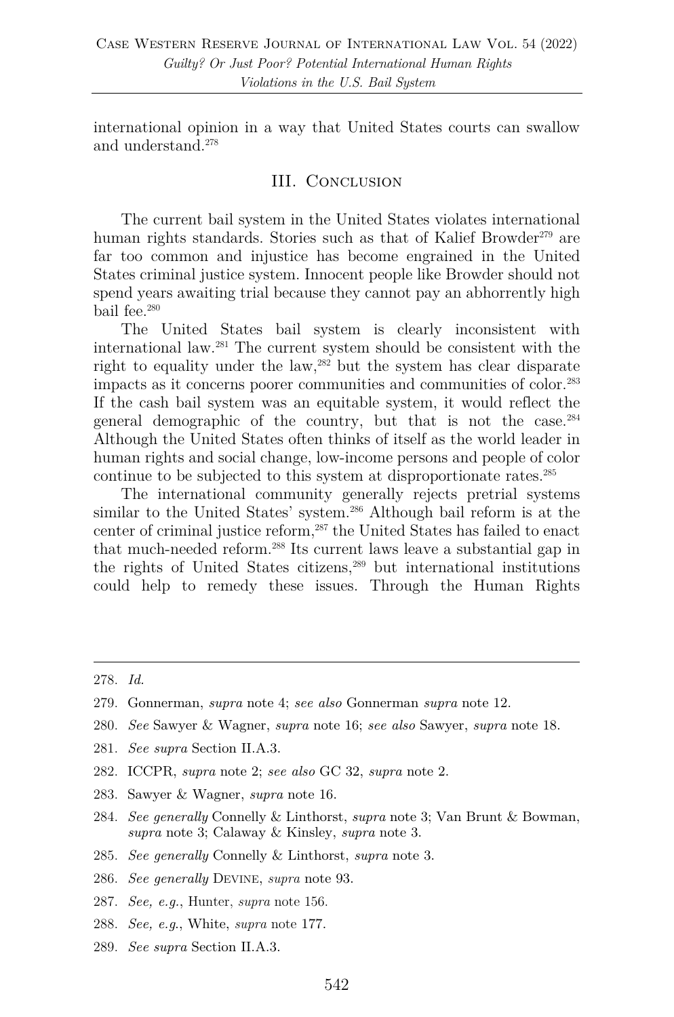international opinion in a way that United States courts can swallow and understand.278

#### III. Conclusion

The current bail system in the United States violates international human rights standards. Stories such as that of Kalief Browder<sup>279</sup> are far too common and injustice has become engrained in the United States criminal justice system. Innocent people like Browder should not spend years awaiting trial because they cannot pay an abhorrently high bail fee.280

The United States bail system is clearly inconsistent with international law.281 The current system should be consistent with the right to equality under the law,<sup>282</sup> but the system has clear disparate impacts as it concerns poorer communities and communities of color.283 If the cash bail system was an equitable system, it would reflect the general demographic of the country, but that is not the case.284 Although the United States often thinks of itself as the world leader in human rights and social change, low-income persons and people of color continue to be subjected to this system at disproportionate rates.285

The international community generally rejects pretrial systems similar to the United States' system.<sup>286</sup> Although bail reform is at the center of criminal justice reform, <sup>287</sup> the United States has failed to enact that much-needed reform.288 Its current laws leave a substantial gap in the rights of United States citizens,289 but international institutions could help to remedy these issues. Through the Human Rights

- 280. *See* Sawyer & Wagner, *supra* note 16; *see also* Sawyer, *supra* note 18.
- 281. *See supra* Section II.A.3.
- 282. ICCPR, *supra* note 2; *see also* GC 32, *supra* note 2.
- 283. Sawyer & Wagner, *supra* note 16.
- 284. *See generally* Connelly & Linthorst, *supra* note 3; Van Brunt & Bowman, *supra* note 3; Calaway & Kinsley, *supra* note 3.
- 285. *See generally* Connelly & Linthorst, *supra* note 3.
- 286. *See generally* DEVINE, *supra* note 93.
- 287. *See, e.g.*, Hunter, *supra* note 156.
- 288. *See, e.g*., White, *supra* note 177.
- 289. *See supra* Section II.A.3.

<sup>278.</sup> *Id.*

<sup>279.</sup> Gonnerman, *supra* note 4; *see also* Gonnerman *supra* note 12.